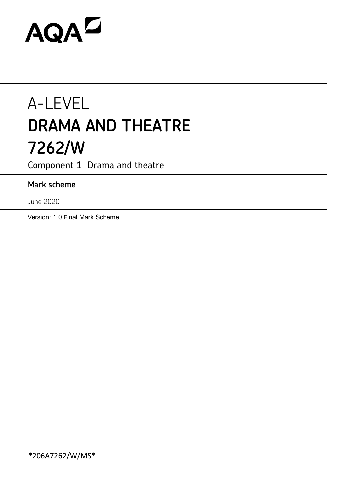# AQAD

# A-LEVEL **DRAMA AND THEATRE 7262/W**

Component 1 Drama and theatre

# **Mark scheme**

June 2020

Version: 1.0 Final Mark Scheme

\*206A7262/W/MS\*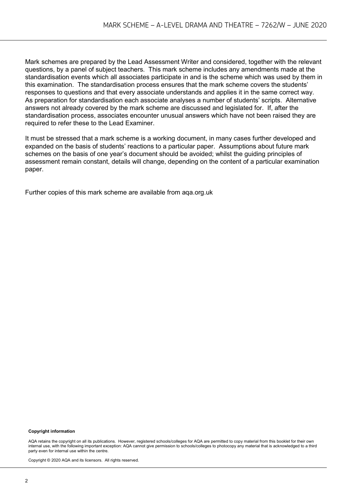Mark schemes are prepared by the Lead Assessment Writer and considered, together with the relevant questions, by a panel of subject teachers. This mark scheme includes any amendments made at the standardisation events which all associates participate in and is the scheme which was used by them in this examination. The standardisation process ensures that the mark scheme covers the students' responses to questions and that every associate understands and applies it in the same correct way. As preparation for standardisation each associate analyses a number of students' scripts. Alternative answers not already covered by the mark scheme are discussed and legislated for. If, after the standardisation process, associates encounter unusual answers which have not been raised they are required to refer these to the Lead Examiner.

It must be stressed that a mark scheme is a working document, in many cases further developed and expanded on the basis of students' reactions to a particular paper. Assumptions about future mark schemes on the basis of one year's document should be avoided; whilst the guiding principles of assessment remain constant, details will change, depending on the content of a particular examination paper.

Further copies of this mark scheme are available from aqa.org.uk

#### **Copyright information**

AQA retains the copyright on all its publications. However, registered schools/colleges for AQA are permitted to copy material from this booklet for their own internal use, with the following important exception: AQA cannot give permission to schools/colleges to photocopy any material that is acknowledged to a third party even for internal use within the centre.

Copyright © 2020 AQA and its licensors. All rights reserved.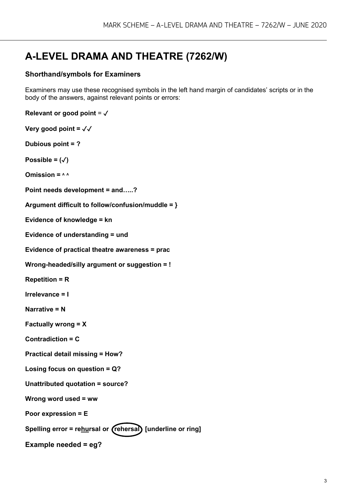# **A-LEVEL DRAMA AND THEATRE (7262/W)**

#### **Shorthand/symbols for Examiners**

Examiners may use these recognised symbols in the left hand margin of candidates' scripts or in the body of the answers, against relevant points or errors:

```
Relevant or good point = √
```

```
Very good point = ✓✓
```
**Dubious point = ?**

Possible =  $(\sqrt)$ 

 $Om$  **ission =**  $\land \land$ 

**Point needs development = and…..?**

```
Argument difficult to follow/confusion/muddle = }
```
**Evidence of knowledge = kn**

**Evidence of understanding = und**

**Evidence of practical theatre awareness = prac**

```
Wrong-headed/silly argument or suggestion = !
```
**Repetition = R**

**Irrelevance = I**

```
Narrative = N
```
**Factually wrong = X**

**Contradiction = C**

**Practical detail missing = How?**

```
Losing focus on question = Q?
```
**Unattributed quotation = source?**

**Wrong word used = ww**

**Poor expression = E**

Spelling error = rehursal or (rehersal) [underline or ring]

**Example needed = eg?**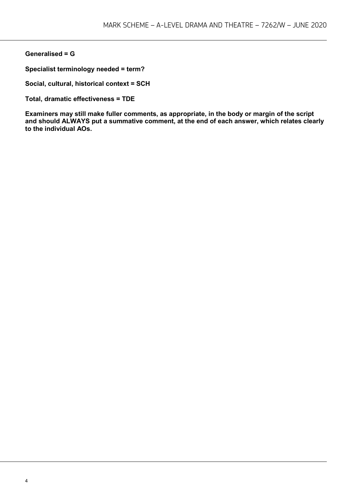#### **Generalised = G**

**Specialist terminology needed = term?**

**Social, cultural, historical context = SCH**

**Total, dramatic effectiveness = TDE**

**Examiners may still make fuller comments, as appropriate, in the body or margin of the script and should ALWAYS put a summative comment, at the end of each answer, which relates clearly to the individual AOs.**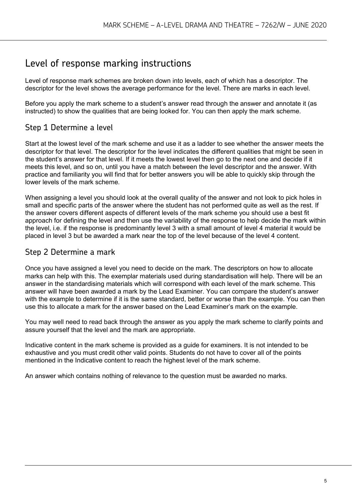# Level of response marking instructions

Level of response mark schemes are broken down into levels, each of which has a descriptor. The descriptor for the level shows the average performance for the level. There are marks in each level.

Before you apply the mark scheme to a student's answer read through the answer and annotate it (as instructed) to show the qualities that are being looked for. You can then apply the mark scheme.

## Step 1 Determine a level

Start at the lowest level of the mark scheme and use it as a ladder to see whether the answer meets the descriptor for that level. The descriptor for the level indicates the different qualities that might be seen in the student's answer for that level. If it meets the lowest level then go to the next one and decide if it meets this level, and so on, until you have a match between the level descriptor and the answer. With practice and familiarity you will find that for better answers you will be able to quickly skip through the lower levels of the mark scheme.

When assigning a level you should look at the overall quality of the answer and not look to pick holes in small and specific parts of the answer where the student has not performed quite as well as the rest. If the answer covers different aspects of different levels of the mark scheme you should use a best fit approach for defining the level and then use the variability of the response to help decide the mark within the level, i.e. if the response is predominantly level 3 with a small amount of level 4 material it would be placed in level 3 but be awarded a mark near the top of the level because of the level 4 content.

### Step 2 Determine a mark

Once you have assigned a level you need to decide on the mark. The descriptors on how to allocate marks can help with this. The exemplar materials used during standardisation will help. There will be an answer in the standardising materials which will correspond with each level of the mark scheme. This answer will have been awarded a mark by the Lead Examiner. You can compare the student's answer with the example to determine if it is the same standard, better or worse than the example. You can then use this to allocate a mark for the answer based on the Lead Examiner's mark on the example.

You may well need to read back through the answer as you apply the mark scheme to clarify points and assure yourself that the level and the mark are appropriate.

Indicative content in the mark scheme is provided as a guide for examiners. It is not intended to be exhaustive and you must credit other valid points. Students do not have to cover all of the points mentioned in the Indicative content to reach the highest level of the mark scheme.

An answer which contains nothing of relevance to the question must be awarded no marks.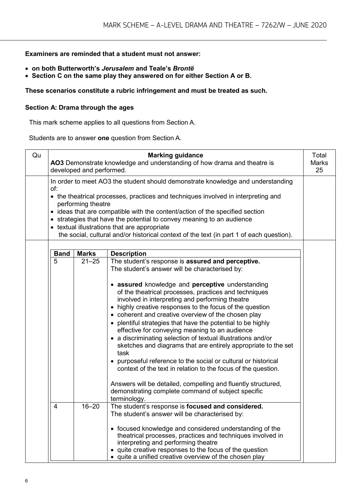#### **Examiners are reminded that a student must not answer:**

- **on both Butterworth's** *Jerusalem* **and Teale's** *Brontë*
- **Section C on the same play they answered on for either Section A or B.**

#### **These scenarios constitute a rubric infringement and must be treated as such.**

#### **Section A: Drama through the ages**

This mark scheme applies to all questions from Section A.

Students are to answer **one** question from Section A.

| Qu |             | developed and performed. | <b>Marking guidance</b><br>AO3 Demonstrate knowledge and understanding of how drama and theatre is                                                                                                                                                                                                                                                                                                                                                                                                                                                                                                                                                                                                                                                                                                                   | Total<br><b>Marks</b><br>25 |
|----|-------------|--------------------------|----------------------------------------------------------------------------------------------------------------------------------------------------------------------------------------------------------------------------------------------------------------------------------------------------------------------------------------------------------------------------------------------------------------------------------------------------------------------------------------------------------------------------------------------------------------------------------------------------------------------------------------------------------------------------------------------------------------------------------------------------------------------------------------------------------------------|-----------------------------|
|    | of:         |                          | In order to meet AO3 the student should demonstrate knowledge and understanding                                                                                                                                                                                                                                                                                                                                                                                                                                                                                                                                                                                                                                                                                                                                      |                             |
|    |             | performing theatre       | • the theatrical processes, practices and techniques involved in interpreting and                                                                                                                                                                                                                                                                                                                                                                                                                                                                                                                                                                                                                                                                                                                                    |                             |
|    |             |                          | • ideas that are compatible with the content/action of the specified section                                                                                                                                                                                                                                                                                                                                                                                                                                                                                                                                                                                                                                                                                                                                         |                             |
|    |             |                          | • strategies that have the potential to convey meaning to an audience                                                                                                                                                                                                                                                                                                                                                                                                                                                                                                                                                                                                                                                                                                                                                |                             |
|    |             |                          | • textual illustrations that are appropriate<br>the social, cultural and/or historical context of the text (in part 1 of each question).                                                                                                                                                                                                                                                                                                                                                                                                                                                                                                                                                                                                                                                                             |                             |
|    |             |                          |                                                                                                                                                                                                                                                                                                                                                                                                                                                                                                                                                                                                                                                                                                                                                                                                                      |                             |
|    | <b>Band</b> | <b>Marks</b>             | <b>Description</b>                                                                                                                                                                                                                                                                                                                                                                                                                                                                                                                                                                                                                                                                                                                                                                                                   |                             |
|    | 5           | $21 - 25$                | The student's response is assured and perceptive.<br>The student's answer will be characterised by:                                                                                                                                                                                                                                                                                                                                                                                                                                                                                                                                                                                                                                                                                                                  |                             |
|    |             |                          | • assured knowledge and perceptive understanding<br>of the theatrical processes, practices and techniques<br>involved in interpreting and performing theatre<br>• highly creative responses to the focus of the question<br>• coherent and creative overview of the chosen play<br>• plentiful strategies that have the potential to be highly<br>effective for conveying meaning to an audience<br>• a discriminating selection of textual illustrations and/or<br>sketches and diagrams that are entirely appropriate to the set<br>task<br>• purposeful reference to the social or cultural or historical<br>context of the text in relation to the focus of the question.<br>Answers will be detailed, compelling and fluently structured,<br>demonstrating complete command of subject specific<br>terminology. |                             |
|    | 4           | $16 - 20$                | The student's response is focused and considered.<br>The student's answer will be characterised by:<br>• focused knowledge and considered understanding of the<br>theatrical processes, practices and techniques involved in<br>interpreting and performing theatre<br>quite creative responses to the focus of the question<br>• quite a unified creative overview of the chosen play                                                                                                                                                                                                                                                                                                                                                                                                                               |                             |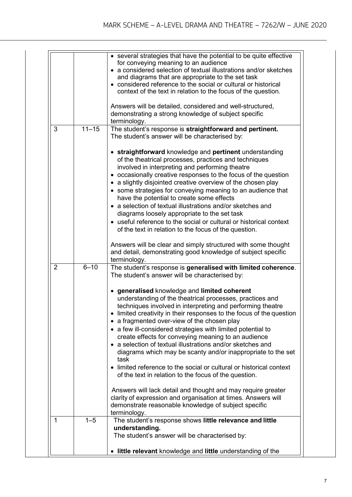|                |                   | • several strategies that have the potential to be quite effective<br>for conveying meaning to an audience<br>• a considered selection of textual illustrations and/or sketches<br>and diagrams that are appropriate to the set task<br>• considered reference to the social or cultural or historical<br>context of the text in relation to the focus of the question.<br>Answers will be detailed, considered and well-structured,<br>demonstrating a strong knowledge of subject specific                                                                                                                                                                   |
|----------------|-------------------|----------------------------------------------------------------------------------------------------------------------------------------------------------------------------------------------------------------------------------------------------------------------------------------------------------------------------------------------------------------------------------------------------------------------------------------------------------------------------------------------------------------------------------------------------------------------------------------------------------------------------------------------------------------|
|                |                   | terminology.                                                                                                                                                                                                                                                                                                                                                                                                                                                                                                                                                                                                                                                   |
| 3              | $\frac{1}{11-15}$ | The student's response is straightforward and pertinent.<br>The student's answer will be characterised by:                                                                                                                                                                                                                                                                                                                                                                                                                                                                                                                                                     |
|                |                   | • straightforward knowledge and pertinent understanding<br>of the theatrical processes, practices and techniques<br>involved in interpreting and performing theatre<br>• occasionally creative responses to the focus of the question<br>• a slightly disjointed creative overview of the chosen play<br>• some strategies for conveying meaning to an audience that<br>have the potential to create some effects<br>• a selection of textual illustrations and/or sketches and<br>diagrams loosely appropriate to the set task<br>• useful reference to the social or cultural or historical context<br>of the text in relation to the focus of the question. |
|                |                   | Answers will be clear and simply structured with some thought<br>and detail, demonstrating good knowledge of subject specific<br>terminology.                                                                                                                                                                                                                                                                                                                                                                                                                                                                                                                  |
| $\overline{2}$ | $6 - 10$          | The student's response is generalised with limited coherence.<br>The student's answer will be characterised by:                                                                                                                                                                                                                                                                                                                                                                                                                                                                                                                                                |
|                |                   | • generalised knowledge and limited coherent<br>understanding of the theatrical processes, practices and<br>techniques involved in interpreting and performing theatre<br>limited creativity in their responses to the focus of the question<br>• a fragmented over-view of the chosen play<br>• a few ill-considered strategies with limited potential to<br>create effects for conveying meaning to an audience<br>• a selection of textual illustrations and/or sketches and<br>diagrams which may be scanty and/or inappropriate to the set<br>task<br>• limited reference to the social or cultural or historical context                                 |
|                |                   | of the text in relation to the focus of the question.<br>Answers will lack detail and thought and may require greater<br>clarity of expression and organisation at times. Answers will<br>demonstrate reasonable knowledge of subject specific<br>terminology.                                                                                                                                                                                                                                                                                                                                                                                                 |
| 1              | $1 - 5$           | The student's response shows little relevance and little<br>understanding.<br>The student's answer will be characterised by:                                                                                                                                                                                                                                                                                                                                                                                                                                                                                                                                   |
|                |                   | • little relevant knowledge and little understanding of the                                                                                                                                                                                                                                                                                                                                                                                                                                                                                                                                                                                                    |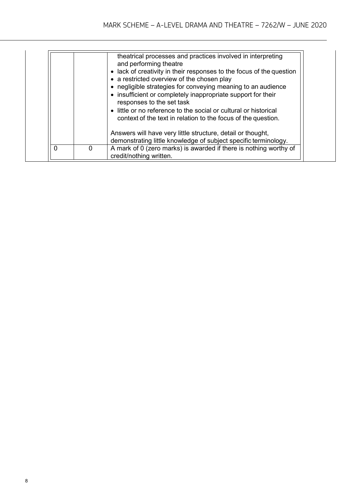|   |   | theatrical processes and practices involved in interpreting<br>and performing theatre<br>• lack of creativity in their responses to the focus of the question<br>• a restricted overview of the chosen play<br>• negligible strategies for conveying meaning to an audience<br>• insufficient or completely inappropriate support for their<br>responses to the set task<br>• little or no reference to the social or cultural or historical<br>context of the text in relation to the focus of the question.<br>Answers will have very little structure, detail or thought,<br>demonstrating little knowledge of subject specific terminology. |
|---|---|-------------------------------------------------------------------------------------------------------------------------------------------------------------------------------------------------------------------------------------------------------------------------------------------------------------------------------------------------------------------------------------------------------------------------------------------------------------------------------------------------------------------------------------------------------------------------------------------------------------------------------------------------|
| 0 | 0 | A mark of 0 (zero marks) is awarded if there is nothing worthy of<br>credit/nothing written.                                                                                                                                                                                                                                                                                                                                                                                                                                                                                                                                                    |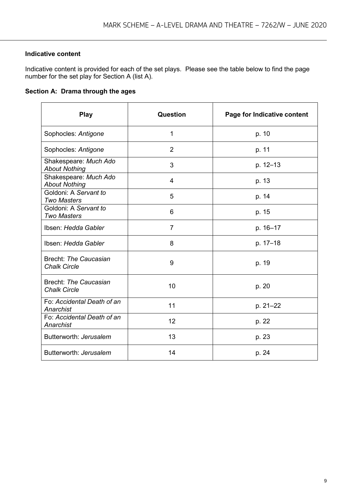#### **Indicative content**

Indicative content is provided for each of the set plays. Please see the table below to find the page number for the set play for Section A (list A).

#### **Section A: Drama through the ages**

| <b>Play</b>                                   | Question       | Page for Indicative content |
|-----------------------------------------------|----------------|-----------------------------|
| Sophocles: Antigone                           | 1              | p. 10                       |
| Sophocles: Antigone                           | $\overline{2}$ | p. 11                       |
| Shakespeare: Much Ado<br><b>About Nothing</b> | 3              | p. 12-13                    |
| Shakespeare: Much Ado<br><b>About Nothing</b> | $\overline{4}$ | p. 13                       |
| Goldoni: A Servant to<br><b>Two Masters</b>   | 5              | p. 14                       |
| Goldoni: A Servant to<br><b>Two Masters</b>   | 6              | p. 15                       |
| Ibsen: Hedda Gabler                           | $\overline{7}$ | p. 16-17                    |
| Ibsen: Hedda Gabler                           | 8              | p. 17-18                    |
| Brecht: The Caucasian<br><b>Chalk Circle</b>  | 9              | p. 19                       |
| Brecht: The Caucasian<br><b>Chalk Circle</b>  | 10             | p. 20                       |
| Fo: Accidental Death of an<br>Anarchist       | 11             | p. 21-22                    |
| Fo: Accidental Death of an<br>Anarchist       | 12             | p. 22                       |
| Butterworth: Jerusalem                        | 13             | p. 23                       |
| Butterworth: Jerusalem                        | 14             | p. 24                       |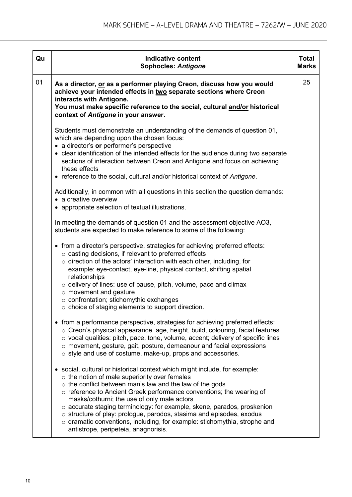| Qu | <b>Indicative content</b><br><b>Sophocles: Antigone</b>                                                                                                                                                                                                                                                                                                                                                                                                                                                                                                                                                        | <b>Total</b><br><b>Marks</b> |
|----|----------------------------------------------------------------------------------------------------------------------------------------------------------------------------------------------------------------------------------------------------------------------------------------------------------------------------------------------------------------------------------------------------------------------------------------------------------------------------------------------------------------------------------------------------------------------------------------------------------------|------------------------------|
| 01 | As a director, or as a performer playing Creon, discuss how you would<br>achieve your intended effects in two separate sections where Creon<br>interacts with Antigone.<br>You must make specific reference to the social, cultural and/or historical<br>context of Antigone in your answer.                                                                                                                                                                                                                                                                                                                   | 25                           |
|    | Students must demonstrate an understanding of the demands of question 01,<br>which are depending upon the chosen focus:<br>• a director's or performer's perspective<br>• clear identification of the intended effects for the audience during two separate<br>sections of interaction between Creon and Antigone and focus on achieving<br>these effects<br>• reference to the social, cultural and/or historical context of Antigone.                                                                                                                                                                        |                              |
|    | Additionally, in common with all questions in this section the question demands:<br>• a creative overview<br>• appropriate selection of textual illustrations.                                                                                                                                                                                                                                                                                                                                                                                                                                                 |                              |
|    | In meeting the demands of question 01 and the assessment objective AO3,<br>students are expected to make reference to some of the following:                                                                                                                                                                                                                                                                                                                                                                                                                                                                   |                              |
|    | • from a director's perspective, strategies for achieving preferred effects:<br>o casting decisions, if relevant to preferred effects<br>$\circ$ direction of the actors' interaction with each other, including, for<br>example: eye-contact, eye-line, physical contact, shifting spatial<br>relationships<br>$\circ$ delivery of lines: use of pause, pitch, volume, pace and climax<br>$\circ$ movement and gesture<br>o confrontation; stichomythic exchanges<br>$\circ$ choice of staging elements to support direction.                                                                                 |                              |
|    | • from a performance perspective, strategies for achieving preferred effects:<br>$\circ$ Creon's physical appearance, age, height, build, colouring, facial features<br>$\circ$ vocal qualities: pitch, pace, tone, volume, accent; delivery of specific lines<br>o movement, gesture, gait, posture, demeanour and facial expressions<br>o style and use of costume, make-up, props and accessories.                                                                                                                                                                                                          |                              |
|    | • social, cultural or historical context which might include, for example:<br>$\circ$ the notion of male superiority over females<br>$\circ$ the conflict between man's law and the law of the gods<br>o reference to Ancient Greek performance conventions; the wearing of<br>masks/cothurni; the use of only male actors<br>o accurate staging terminology: for example, skene, parados, proskenion<br>$\circ$ structure of play: prologue, parodos, stasima and episodes, exodus<br>$\circ$ dramatic conventions, including, for example: stichomythia, strophe and<br>antistrope, peripeteia, anagnorisis. |                              |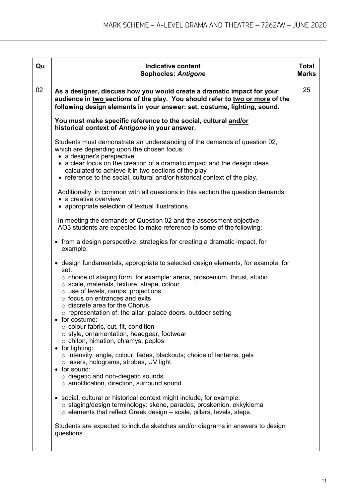| Qu | <b>Indicative content</b><br><b>Sophocles: Antigone</b>                                                                                                                                                                                                                                                                                                                                                                                                                                                                                                                                                                                                                                                                                                                                                                                                                                                                                                                                                                                                                                                | <b>Total</b><br><b>Marks</b> |
|----|--------------------------------------------------------------------------------------------------------------------------------------------------------------------------------------------------------------------------------------------------------------------------------------------------------------------------------------------------------------------------------------------------------------------------------------------------------------------------------------------------------------------------------------------------------------------------------------------------------------------------------------------------------------------------------------------------------------------------------------------------------------------------------------------------------------------------------------------------------------------------------------------------------------------------------------------------------------------------------------------------------------------------------------------------------------------------------------------------------|------------------------------|
| 02 | As a designer, discuss how you would create a dramatic impact for your<br>audience in two sections of the play. You should refer to two or more of the<br>following design elements in your answer: set, costume, lighting, sound.                                                                                                                                                                                                                                                                                                                                                                                                                                                                                                                                                                                                                                                                                                                                                                                                                                                                     | 25                           |
|    | You must make specific reference to the social, cultural and/or<br>historical context of Antigone in your answer.                                                                                                                                                                                                                                                                                                                                                                                                                                                                                                                                                                                                                                                                                                                                                                                                                                                                                                                                                                                      |                              |
|    | Students must demonstrate an understanding of the demands of question 02,<br>which are depending upon the chosen focus:<br>• a designer's perspective<br>• a clear focus on the creation of a dramatic impact and the design ideas<br>calculated to achieve it in two sections of the play<br>• reference to the social, cultural and/or historical context of the play.<br>Additionally, in common with all questions in this section the question demands:<br>• a creative overview                                                                                                                                                                                                                                                                                                                                                                                                                                                                                                                                                                                                                  |                              |
|    | • appropriate selection of textual illustrations.<br>In meeting the demands of Question 02 and the assessment objective<br>AO3 students are expected to make reference to some of the following:                                                                                                                                                                                                                                                                                                                                                                                                                                                                                                                                                                                                                                                                                                                                                                                                                                                                                                       |                              |
|    | • from a design perspective, strategies for creating a dramatic impact, for<br>example:                                                                                                                                                                                                                                                                                                                                                                                                                                                                                                                                                                                                                                                                                                                                                                                                                                                                                                                                                                                                                |                              |
|    | • design fundamentals, appropriate to selected design elements, for example: for<br>set:<br>$\circ$ choice of staging form, for example: arena, proscenium, thrust, studio<br>o scale, materials, texture, shape, colour<br>$\circ$ use of levels, ramps; projections<br>$\circ$ focus on entrances and exits<br>$\circ$ discrete area for the Chorus<br>$\circ$ representation of: the altar, palace doors, outdoor setting<br>$\bullet$ for costume:<br>$\circ$ colour fabric, cut, fit, condition<br>o style, ornamentation, headgear, footwear<br>$\circ$ chiton, himation, chlamys, peplos<br>• for lighting:<br>$\circ$ intensity, angle, colour, fades, blackouts; choice of lanterns, gels<br>$\circ$ lasers, holograms, strobes, UV light<br>• for sound:<br>$\circ$ diegetic and non-diegetic sounds<br>o amplification, direction, surround sound.<br>social, cultural or historical context might include, for example:<br>$\bullet$<br>o staging/design terminology: skene, parados, proskenion, ekkyklema<br>$\circ$ elements that reflect Greek design – scale, pillars, levels, steps. |                              |
|    | Students are expected to include sketches and/or diagrams in answers to design<br>questions.                                                                                                                                                                                                                                                                                                                                                                                                                                                                                                                                                                                                                                                                                                                                                                                                                                                                                                                                                                                                           |                              |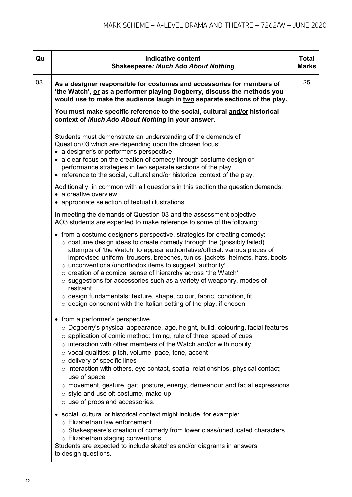| Qu | <b>Indicative content</b><br><b>Shakespeare: Much Ado About Nothing</b>                                                                                                                                                                                                                                                                                                                                                                                                                                                                                                                                                                                                                                                                         | <b>Total</b><br><b>Marks</b> |
|----|-------------------------------------------------------------------------------------------------------------------------------------------------------------------------------------------------------------------------------------------------------------------------------------------------------------------------------------------------------------------------------------------------------------------------------------------------------------------------------------------------------------------------------------------------------------------------------------------------------------------------------------------------------------------------------------------------------------------------------------------------|------------------------------|
| 03 | As a designer responsible for costumes and accessories for members of<br>'the Watch', or as a performer playing Dogberry, discuss the methods you<br>would use to make the audience laugh in two separate sections of the play.                                                                                                                                                                                                                                                                                                                                                                                                                                                                                                                 | 25                           |
|    | You must make specific reference to the social, cultural and/or historical<br>context of Much Ado About Nothing in your answer.                                                                                                                                                                                                                                                                                                                                                                                                                                                                                                                                                                                                                 |                              |
|    | Students must demonstrate an understanding of the demands of<br>Question 03 which are depending upon the chosen focus:<br>• a designer's or performer's perspective<br>• a clear focus on the creation of comedy through costume design or<br>performance strategies in two separate sections of the play<br>• reference to the social, cultural and/or historical context of the play.                                                                                                                                                                                                                                                                                                                                                         |                              |
|    | Additionally, in common with all questions in this section the question demands:<br>• a creative overview<br>• appropriate selection of textual illustrations.                                                                                                                                                                                                                                                                                                                                                                                                                                                                                                                                                                                  |                              |
|    | In meeting the demands of Question 03 and the assessment objective<br>AO3 students are expected to make reference to some of the following:                                                                                                                                                                                                                                                                                                                                                                                                                                                                                                                                                                                                     |                              |
|    | • from a costume designer's perspective, strategies for creating comedy:<br>$\circ$ costume design ideas to create comedy through the (possibly failed)<br>attempts of 'the Watch' to appear authoritative/official: various pieces of<br>improvised uniform, trousers, breeches, tunics, jackets, helmets, hats, boots<br>o unconventional/unorthodox items to suggest 'authority'<br>o creation of a comical sense of hierarchy across 'the Watch'<br>o suggestions for accessories such as a variety of weaponry, modes of<br>restraint<br>$\circ$ design fundamentals: texture, shape, colour, fabric, condition, fit                                                                                                                       |                              |
|    | $\circ$ design consonant with the Italian setting of the play, if chosen.<br>• from a performer's perspective<br>$\circ$ Dogberry's physical appearance, age, height, build, colouring, facial features<br>o application of comic method: timing, rule of three, speed of cues<br>$\circ$ interaction with other members of the Watch and/or with nobility<br>$\circ$ vocal qualities: pitch, volume, pace, tone, accent<br>$\circ$ delivery of specific lines<br>$\circ$ interaction with others, eye contact, spatial relationships, physical contact;<br>use of space<br>$\circ$ movement, gesture, gait, posture, energy, demeanour and facial expressions<br>o style and use of: costume, make-up<br>$\circ$ use of props and accessories. |                              |
|    | • social, cultural or historical context might include, for example:<br>$\circ$ Elizabethan law enforcement<br>○ Shakespeare's creation of comedy from lower class/uneducated characters<br>o Elizabethan staging conventions.<br>Students are expected to include sketches and/or diagrams in answers<br>to design questions.                                                                                                                                                                                                                                                                                                                                                                                                                  |                              |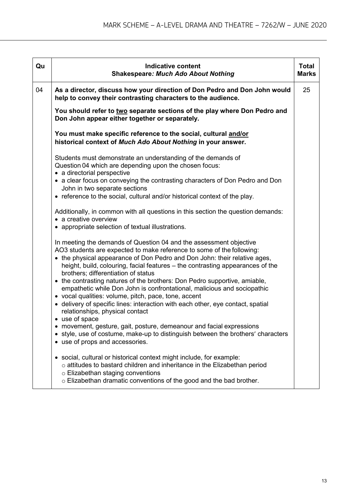| Qu | <b>Indicative content</b><br><b>Shakespeare: Much Ado About Nothing</b>                                                                                                                                                                                                                                                                           | <b>Total</b><br><b>Marks</b> |
|----|---------------------------------------------------------------------------------------------------------------------------------------------------------------------------------------------------------------------------------------------------------------------------------------------------------------------------------------------------|------------------------------|
| 04 | As a director, discuss how your direction of Don Pedro and Don John would<br>help to convey their contrasting characters to the audience.                                                                                                                                                                                                         | 25                           |
|    | You should refer to two separate sections of the play where Don Pedro and<br>Don John appear either together or separately.                                                                                                                                                                                                                       |                              |
|    | You must make specific reference to the social, cultural and/or<br>historical context of Much Ado About Nothing in your answer.                                                                                                                                                                                                                   |                              |
|    | Students must demonstrate an understanding of the demands of<br>Question 04 which are depending upon the chosen focus:<br>• a directorial perspective                                                                                                                                                                                             |                              |
|    | • a clear focus on conveying the contrasting characters of Don Pedro and Don<br>John in two separate sections<br>• reference to the social, cultural and/or historical context of the play.                                                                                                                                                       |                              |
|    | Additionally, in common with all questions in this section the question demands:<br>• a creative overview<br>• appropriate selection of textual illustrations.                                                                                                                                                                                    |                              |
|    | In meeting the demands of Question 04 and the assessment objective<br>AO3 students are expected to make reference to some of the following:<br>• the physical appearance of Don Pedro and Don John: their relative ages,<br>height, build, colouring, facial features - the contrasting appearances of the<br>brothers; differentiation of status |                              |
|    | • the contrasting natures of the brothers: Don Pedro supportive, amiable,<br>empathetic while Don John is confrontational, malicious and sociopathic<br>• vocal qualities: volume, pitch, pace, tone, accent<br>• delivery of specific lines: interaction with each other, eye contact, spatial<br>relationships, physical contact                |                              |
|    | • use of space<br>movement, gesture, gait, posture, demeanour and facial expressions<br>٠<br>style, use of costume, make-up to distinguish between the brothers' characters<br>$\bullet$<br>• use of props and accessories.                                                                                                                       |                              |
|    | • social, cultural or historical context might include, for example:<br>$\circ$ attitudes to bastard children and inheritance in the Elizabethan period<br>$\circ$ Elizabethan staging conventions<br>o Elizabethan dramatic conventions of the good and the bad brother.                                                                         |                              |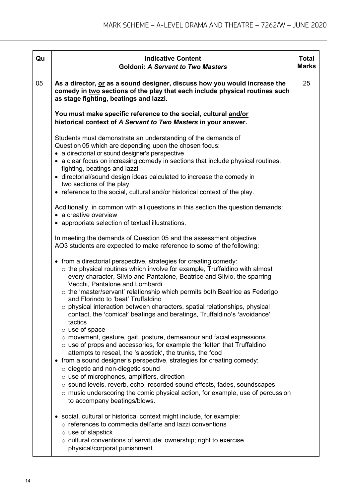| Qu | <b>Indicative Content</b><br><b>Goldoni: A Servant to Two Masters</b>                                                                                                                                                                                                                                                                                                                                                                                                                                                                                                                  | <b>Total</b><br><b>Marks</b> |
|----|----------------------------------------------------------------------------------------------------------------------------------------------------------------------------------------------------------------------------------------------------------------------------------------------------------------------------------------------------------------------------------------------------------------------------------------------------------------------------------------------------------------------------------------------------------------------------------------|------------------------------|
| 05 | As a director, or as a sound designer, discuss how you would increase the<br>comedy in two sections of the play that each include physical routines such<br>as stage fighting, beatings and lazzi.                                                                                                                                                                                                                                                                                                                                                                                     | 25                           |
|    | You must make specific reference to the social, cultural and/or<br>historical context of A Servant to Two Masters in your answer.                                                                                                                                                                                                                                                                                                                                                                                                                                                      |                              |
|    | Students must demonstrate an understanding of the demands of<br>Question 05 which are depending upon the chosen focus:<br>• a directorial or sound designer's perspective<br>• a clear focus on increasing comedy in sections that include physical routines,<br>fighting, beatings and lazzi<br>• directorial/sound design ideas calculated to increase the comedy in<br>two sections of the play<br>• reference to the social, cultural and/or historical context of the play.                                                                                                       |                              |
|    | Additionally, in common with all questions in this section the question demands:<br>• a creative overview<br>• appropriate selection of textual illustrations.                                                                                                                                                                                                                                                                                                                                                                                                                         |                              |
|    | In meeting the demands of Question 05 and the assessment objective<br>AO3 students are expected to make reference to some of the following:                                                                                                                                                                                                                                                                                                                                                                                                                                            |                              |
|    | • from a directorial perspective, strategies for creating comedy:<br>$\circ$ the physical routines which involve for example, Truffaldino with almost<br>every character, Silvio and Pantalone, Beatrice and Silvio, the sparring<br>Vecchi, Pantalone and Lombardi<br>o the 'master/servant' relationship which permits both Beatrice as Federigo<br>and Florindo to 'beat' Truffaldino<br>$\circ$ physical interaction between characters, spatial relationships, physical<br>contact, the 'comical' beatings and beratings, Truffaldino's 'avoidance'<br>tactics<br>o use of space  |                              |
|    | o movement, gesture, gait, posture, demeanour and facial expressions<br>o use of props and accessories, for example the 'letter' that Truffaldino<br>attempts to reseal, the 'slapstick', the trunks, the food<br>• from a sound designer's perspective, strategies for creating comedy:<br>$\circ$ diegetic and non-diegetic sound<br>o use of microphones, amplifiers, direction<br>o sound levels, reverb, echo, recorded sound effects, fades, soundscapes<br>$\circ$ music underscoring the comic physical action, for example, use of percussion<br>to accompany beatings/blows. |                              |
|    | social, cultural or historical context might include, for example:<br>$\bullet$<br>o references to commedia dell'arte and lazzi conventions<br>$\circ$ use of slapstick<br>$\circ$ cultural conventions of servitude; ownership; right to exercise<br>physical/corporal punishment.                                                                                                                                                                                                                                                                                                    |                              |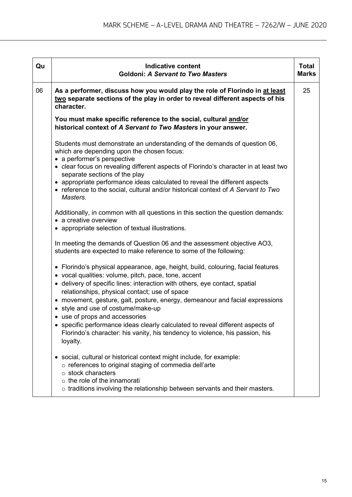| Qu | <b>Indicative content</b><br><b>Goldoni: A Servant to Two Masters</b>                                                                                                                                                                                                                                                                                                                                                                                                                                                                                                                                          | <b>Total</b><br><b>Marks</b> |
|----|----------------------------------------------------------------------------------------------------------------------------------------------------------------------------------------------------------------------------------------------------------------------------------------------------------------------------------------------------------------------------------------------------------------------------------------------------------------------------------------------------------------------------------------------------------------------------------------------------------------|------------------------------|
| 06 | As a performer, discuss how you would play the role of Florindo in at least<br>two separate sections of the play in order to reveal different aspects of his<br>character.                                                                                                                                                                                                                                                                                                                                                                                                                                     | 25                           |
|    | You must make specific reference to the social, cultural and/or<br>historical context of A Servant to Two Masters in your answer.                                                                                                                                                                                                                                                                                                                                                                                                                                                                              |                              |
|    | Students must demonstrate an understanding of the demands of question 06,<br>which are depending upon the chosen focus:<br>• a performer's perspective<br>• clear focus on revealing different aspects of Florindo's character in at least two<br>separate sections of the play<br>• appropriate performance ideas calculated to reveal the different aspects<br>• reference to the social, cultural and/or historical context of A Servant to Two<br>Masters.                                                                                                                                                 |                              |
|    | Additionally, in common with all questions in this section the question demands:<br>• a creative overview<br>• appropriate selection of textual illustrations.                                                                                                                                                                                                                                                                                                                                                                                                                                                 |                              |
|    | In meeting the demands of Question 06 and the assessment objective AO3,<br>students are expected to make reference to some of the following:                                                                                                                                                                                                                                                                                                                                                                                                                                                                   |                              |
|    | • Florindo's physical appearance, age, height, build, colouring, facial features<br>• vocal qualities: volume, pitch, pace, tone, accent<br>• delivery of specific lines: interaction with others, eye contact, spatial<br>relationships, physical contact; use of space<br>• movement, gesture, gait, posture, energy, demeanour and facial expressions<br>• style and use of costume/make-up<br>• use of props and accessories<br>• specific performance ideas clearly calculated to reveal different aspects of<br>Florindo's character: his vanity, his tendency to violence, his passion, his<br>loyalty. |                              |
|    | • social, cultural or historical context might include, for example:<br>o references to original staging of commedia dell'arte<br>$\circ$ stock characters<br>$\circ$ the role of the innamorati<br>$\circ$ traditions involving the relationship between servants and their masters.                                                                                                                                                                                                                                                                                                                          |                              |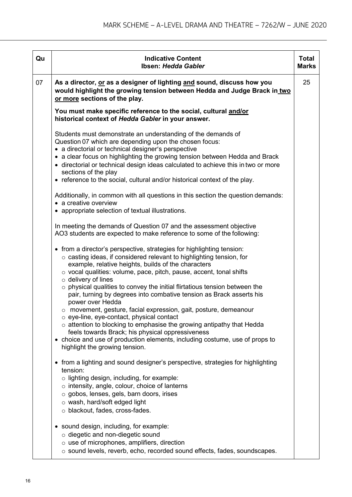| Qu | <b>Indicative Content</b><br>Ibsen: Hedda Gabler                                                                                                                                                                                                                                                                                                                                                                                                                                                                                                                                                                                                                                                                                                                                                                                                                                                                                                                                                                                                                                                                                                                                                                                                                                                                                                                                                                                                                                                                                                                                                                                                                                                                                                                                                                                                                                                                                                                                        | <b>Total</b><br><b>Marks</b> |
|----|-----------------------------------------------------------------------------------------------------------------------------------------------------------------------------------------------------------------------------------------------------------------------------------------------------------------------------------------------------------------------------------------------------------------------------------------------------------------------------------------------------------------------------------------------------------------------------------------------------------------------------------------------------------------------------------------------------------------------------------------------------------------------------------------------------------------------------------------------------------------------------------------------------------------------------------------------------------------------------------------------------------------------------------------------------------------------------------------------------------------------------------------------------------------------------------------------------------------------------------------------------------------------------------------------------------------------------------------------------------------------------------------------------------------------------------------------------------------------------------------------------------------------------------------------------------------------------------------------------------------------------------------------------------------------------------------------------------------------------------------------------------------------------------------------------------------------------------------------------------------------------------------------------------------------------------------------------------------------------------------|------------------------------|
| 07 | As a director, or as a designer of lighting and sound, discuss how you<br>would highlight the growing tension between Hedda and Judge Brack in two<br>or more sections of the play.                                                                                                                                                                                                                                                                                                                                                                                                                                                                                                                                                                                                                                                                                                                                                                                                                                                                                                                                                                                                                                                                                                                                                                                                                                                                                                                                                                                                                                                                                                                                                                                                                                                                                                                                                                                                     | 25                           |
|    | You must make specific reference to the social, cultural and/or<br>historical context of Hedda Gabler in your answer.                                                                                                                                                                                                                                                                                                                                                                                                                                                                                                                                                                                                                                                                                                                                                                                                                                                                                                                                                                                                                                                                                                                                                                                                                                                                                                                                                                                                                                                                                                                                                                                                                                                                                                                                                                                                                                                                   |                              |
|    | Students must demonstrate an understanding of the demands of<br>Question 07 which are depending upon the chosen focus:<br>• a directorial or technical designer's perspective<br>• a clear focus on highlighting the growing tension between Hedda and Brack<br>• directorial or technical design ideas calculated to achieve this in two or more<br>sections of the play<br>• reference to the social, cultural and/or historical context of the play.<br>Additionally, in common with all questions in this section the question demands:<br>• a creative overview<br>• appropriate selection of textual illustrations.<br>In meeting the demands of Question 07 and the assessment objective<br>AO3 students are expected to make reference to some of the following:<br>• from a director's perspective, strategies for highlighting tension:<br>$\circ$ casting ideas, if considered relevant to highlighting tension, for<br>example, relative heights, builds of the characters<br>$\circ$ vocal qualities: volume, pace, pitch, pause, accent, tonal shifts<br>$\circ$ delivery of lines<br>$\circ$ physical qualities to convey the initial flirtatious tension between the<br>pair, turning by degrees into combative tension as Brack asserts his<br>power over Hedda<br>$\circ$ movement, gesture, facial expression, gait, posture, demeanour<br>o eye-line, eye-contact, physical contact<br>$\circ$ attention to blocking to emphasise the growing antipathy that Hedda<br>feels towards Brack; his physical oppressiveness<br>• choice and use of production elements, including costume, use of props to<br>highlight the growing tension.<br>• from a lighting and sound designer's perspective, strategies for highlighting<br>tension:<br>o lighting design, including, for example:<br>$\circ$ intensity, angle, colour, choice of lanterns<br>o gobos, lenses, gels, barn doors, irises<br>$\circ$ wash, hard/soft edged light<br>o blackout, fades, cross-fades. |                              |
|    | • sound design, including, for example:<br>$\circ$ diegetic and non-diegetic sound<br>o use of microphones, amplifiers, direction<br>o sound levels, reverb, echo, recorded sound effects, fades, soundscapes.                                                                                                                                                                                                                                                                                                                                                                                                                                                                                                                                                                                                                                                                                                                                                                                                                                                                                                                                                                                                                                                                                                                                                                                                                                                                                                                                                                                                                                                                                                                                                                                                                                                                                                                                                                          |                              |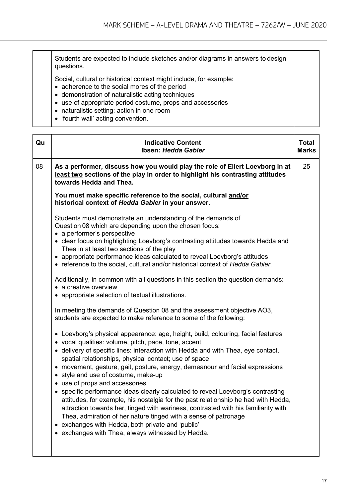Students are expected to include sketches and/or diagrams in answers to design questions.

Social, cultural or historical context might include, for example:

- adherence to the social mores of the period
- demonstration of naturalistic acting techniques
- use of appropriate period costume, props and accessories
- naturalistic setting: action in one room
- 'fourth wall' acting convention.

| Qu | <b>Indicative Content</b><br>Ibsen: Hedda Gabler                                                                                                                                                                                                                                                                                                                                                                                                                                                                                                                                                                                                                                                                                                                                                                                                                                                                                                                                                                                                                                                                                                                                                                                                                                                                                                                                                                                                                                                                                                                                                                                                                             | <b>Total</b><br><b>Marks</b> |
|----|------------------------------------------------------------------------------------------------------------------------------------------------------------------------------------------------------------------------------------------------------------------------------------------------------------------------------------------------------------------------------------------------------------------------------------------------------------------------------------------------------------------------------------------------------------------------------------------------------------------------------------------------------------------------------------------------------------------------------------------------------------------------------------------------------------------------------------------------------------------------------------------------------------------------------------------------------------------------------------------------------------------------------------------------------------------------------------------------------------------------------------------------------------------------------------------------------------------------------------------------------------------------------------------------------------------------------------------------------------------------------------------------------------------------------------------------------------------------------------------------------------------------------------------------------------------------------------------------------------------------------------------------------------------------------|------------------------------|
| 08 | As a performer, discuss how you would play the role of Eilert Loevborg in at<br>least two sections of the play in order to highlight his contrasting attitudes<br>towards Hedda and Thea.                                                                                                                                                                                                                                                                                                                                                                                                                                                                                                                                                                                                                                                                                                                                                                                                                                                                                                                                                                                                                                                                                                                                                                                                                                                                                                                                                                                                                                                                                    | 25                           |
|    | You must make specific reference to the social, cultural and/or<br>historical context of Hedda Gabler in your answer.                                                                                                                                                                                                                                                                                                                                                                                                                                                                                                                                                                                                                                                                                                                                                                                                                                                                                                                                                                                                                                                                                                                                                                                                                                                                                                                                                                                                                                                                                                                                                        |                              |
|    | Students must demonstrate an understanding of the demands of<br>Question 08 which are depending upon the chosen focus:<br>• a performer's perspective<br>• clear focus on highlighting Loevborg's contrasting attitudes towards Hedda and<br>Thea in at least two sections of the play<br>• appropriate performance ideas calculated to reveal Loevborg's attitudes<br>• reference to the social, cultural and/or historical context of Hedda Gabler.<br>Additionally, in common with all questions in this section the question demands:<br>• a creative overview<br>• appropriate selection of textual illustrations.<br>In meeting the demands of Question 08 and the assessment objective AO3,<br>students are expected to make reference to some of the following:<br>• Loevborg's physical appearance: age, height, build, colouring, facial features<br>• vocal qualities: volume, pitch, pace, tone, accent<br>• delivery of specific lines: interaction with Hedda and with Thea, eye contact,<br>spatial relationships, physical contact; use of space<br>• movement, gesture, gait, posture, energy, demeanour and facial expressions<br>• style and use of costume, make-up<br>• use of props and accessories<br>• specific performance ideas clearly calculated to reveal Loevborg's contrasting<br>attitudes, for example, his nostalgia for the past relationship he had with Hedda,<br>attraction towards her, tinged with wariness, contrasted with his familiarity with<br>Thea, admiration of her nature tinged with a sense of patronage<br>exchanges with Hedda, both private and 'public'<br>٠<br>exchanges with Thea, always witnessed by Hedda.<br>٠ |                              |
|    |                                                                                                                                                                                                                                                                                                                                                                                                                                                                                                                                                                                                                                                                                                                                                                                                                                                                                                                                                                                                                                                                                                                                                                                                                                                                                                                                                                                                                                                                                                                                                                                                                                                                              |                              |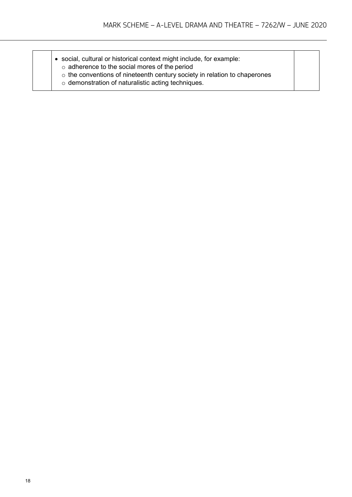- social, cultural or historical context might include, for example:
	- o adherence to the social mores of the period
	- o the conventions of nineteenth century society in relation to chaperones
	- o demonstration of naturalistic acting techniques.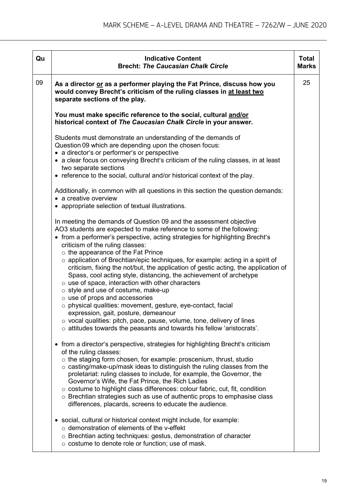| Qu | <b>Indicative Content</b><br><b>Brecht: The Caucasian Chalk Circle</b>                                                                                                                                                                                                                                                                                                                                                                                                                                                                                                                                                                                                                                                                                                                                                                                                                                                                                                              | <b>Total</b><br><b>Marks</b> |
|----|-------------------------------------------------------------------------------------------------------------------------------------------------------------------------------------------------------------------------------------------------------------------------------------------------------------------------------------------------------------------------------------------------------------------------------------------------------------------------------------------------------------------------------------------------------------------------------------------------------------------------------------------------------------------------------------------------------------------------------------------------------------------------------------------------------------------------------------------------------------------------------------------------------------------------------------------------------------------------------------|------------------------------|
| 09 | As a director or as a performer playing the Fat Prince, discuss how you<br>would convey Brecht's criticism of the ruling classes in at least two<br>separate sections of the play.                                                                                                                                                                                                                                                                                                                                                                                                                                                                                                                                                                                                                                                                                                                                                                                                  | 25                           |
|    | You must make specific reference to the social, cultural and/or<br>historical context of The Caucasian Chalk Circle in your answer.                                                                                                                                                                                                                                                                                                                                                                                                                                                                                                                                                                                                                                                                                                                                                                                                                                                 |                              |
|    | Students must demonstrate an understanding of the demands of<br>Question 09 which are depending upon the chosen focus:<br>• a director's or performer's or perspective<br>• a clear focus on conveying Brecht's criticism of the ruling classes, in at least<br>two separate sections<br>• reference to the social, cultural and/or historical context of the play.                                                                                                                                                                                                                                                                                                                                                                                                                                                                                                                                                                                                                 |                              |
|    | Additionally, in common with all questions in this section the question demands:<br>• a creative overview<br>• appropriate selection of textual illustrations.                                                                                                                                                                                                                                                                                                                                                                                                                                                                                                                                                                                                                                                                                                                                                                                                                      |                              |
|    | In meeting the demands of Question 09 and the assessment objective<br>AO3 students are expected to make reference to some of the following:<br>• from a performer's perspective, acting strategies for highlighting Brecht's<br>criticism of the ruling classes:<br>$\circ$ the appearance of the Fat Prince<br>$\circ$ application of Brechtian/epic techniques, for example: acting in a spirit of<br>criticism, fixing the not/but, the application of gestic acting, the application of<br>Spass, cool acting style, distancing, the achievement of archetype<br>$\circ$ use of space, interaction with other characters<br>o style and use of costume, make-up<br>$\circ$ use of props and accessories<br>o physical qualities: movement, gesture, eye-contact, facial<br>expression, gait, posture, demeanour<br>$\circ$ vocal qualities: pitch, pace, pause, volume, tone, delivery of lines<br>$\circ$ attitudes towards the peasants and towards his fellow 'aristocrats'. |                              |
|    | • from a director's perspective, strategies for highlighting Brecht's criticism<br>of the ruling classes:<br>$\circ$ the staging form chosen, for example: proscenium, thrust, studio<br>$\circ$ casting/make-up/mask ideas to distinguish the ruling classes from the<br>proletariat: ruling classes to include, for example, the Governor, the<br>Governor's Wife, the Fat Prince, the Rich Ladies<br>o costume to highlight class differences: colour fabric, cut, fit, condition<br>o Brechtian strategies such as use of authentic props to emphasise class<br>differences, placards, screens to educate the audience.                                                                                                                                                                                                                                                                                                                                                         |                              |
|    | • social, cultural or historical context might include, for example:<br>o demonstration of elements of the v-effekt<br>o Brechtian acting techniques: gestus, demonstration of character<br>$\circ$ costume to denote role or function; use of mask.                                                                                                                                                                                                                                                                                                                                                                                                                                                                                                                                                                                                                                                                                                                                |                              |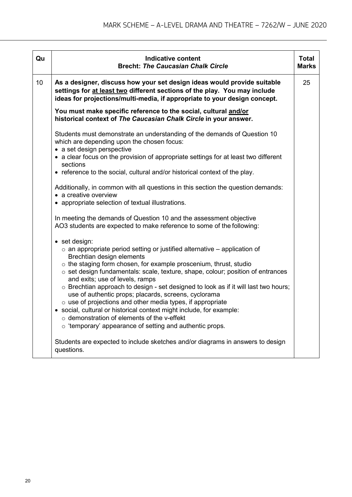| Qu | <b>Indicative content</b>                                                                                                                                                                                                                                                                                                                                                                                                                                                                                                                                                                                                                                                                                                                            | <b>Total</b> |  |  |  |
|----|------------------------------------------------------------------------------------------------------------------------------------------------------------------------------------------------------------------------------------------------------------------------------------------------------------------------------------------------------------------------------------------------------------------------------------------------------------------------------------------------------------------------------------------------------------------------------------------------------------------------------------------------------------------------------------------------------------------------------------------------------|--------------|--|--|--|
|    | <b>Brecht: The Caucasian Chalk Circle</b>                                                                                                                                                                                                                                                                                                                                                                                                                                                                                                                                                                                                                                                                                                            | <b>Marks</b> |  |  |  |
| 10 | As a designer, discuss how your set design ideas would provide suitable<br>settings for at least two different sections of the play. You may include<br>ideas for projections/multi-media, if appropriate to your design concept.                                                                                                                                                                                                                                                                                                                                                                                                                                                                                                                    |              |  |  |  |
|    | You must make specific reference to the social, cultural and/or<br>historical context of The Caucasian Chalk Circle in your answer.                                                                                                                                                                                                                                                                                                                                                                                                                                                                                                                                                                                                                  |              |  |  |  |
|    | Students must demonstrate an understanding of the demands of Question 10<br>which are depending upon the chosen focus:<br>• a set design perspective                                                                                                                                                                                                                                                                                                                                                                                                                                                                                                                                                                                                 |              |  |  |  |
|    | • a clear focus on the provision of appropriate settings for at least two different<br>sections                                                                                                                                                                                                                                                                                                                                                                                                                                                                                                                                                                                                                                                      |              |  |  |  |
|    | • reference to the social, cultural and/or historical context of the play.                                                                                                                                                                                                                                                                                                                                                                                                                                                                                                                                                                                                                                                                           |              |  |  |  |
|    | Additionally, in common with all questions in this section the question demands:<br>• a creative overview                                                                                                                                                                                                                                                                                                                                                                                                                                                                                                                                                                                                                                            |              |  |  |  |
|    | • appropriate selection of textual illustrations.                                                                                                                                                                                                                                                                                                                                                                                                                                                                                                                                                                                                                                                                                                    |              |  |  |  |
|    | In meeting the demands of Question 10 and the assessment objective<br>AO3 students are expected to make reference to some of the following:                                                                                                                                                                                                                                                                                                                                                                                                                                                                                                                                                                                                          |              |  |  |  |
|    | • set design:<br>$\circ$ an appropriate period setting or justified alternative – application of<br>Brechtian design elements<br>$\circ$ the staging form chosen, for example proscenium, thrust, studio<br>o set design fundamentals: scale, texture, shape, colour; position of entrances<br>and exits; use of levels, ramps<br>$\circ$ Brechtian approach to design - set designed to look as if it will last two hours;<br>use of authentic props; placards, screens, cyclorama<br>$\circ$ use of projections and other media types, if appropriate<br>social, cultural or historical context might include, for example:<br>$\circ$ demonstration of elements of the v-effekt<br>$\circ$ 'temporary' appearance of setting and authentic props. |              |  |  |  |
|    | Students are expected to include sketches and/or diagrams in answers to design<br>questions.                                                                                                                                                                                                                                                                                                                                                                                                                                                                                                                                                                                                                                                         |              |  |  |  |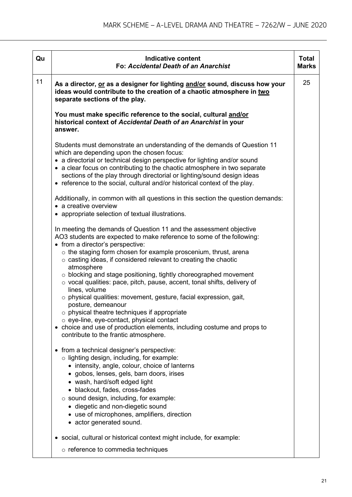| Qu | <b>Indicative content</b><br><b>Fo: Accidental Death of an Anarchist</b>                                                                                                                                                                                                                                                                                                                                                                                                                                                                                                                                                                                                                                                                                                                                                                       | <b>Total</b><br><b>Marks</b> |
|----|------------------------------------------------------------------------------------------------------------------------------------------------------------------------------------------------------------------------------------------------------------------------------------------------------------------------------------------------------------------------------------------------------------------------------------------------------------------------------------------------------------------------------------------------------------------------------------------------------------------------------------------------------------------------------------------------------------------------------------------------------------------------------------------------------------------------------------------------|------------------------------|
| 11 | As a director, or as a designer for lighting and/or sound, discuss how your<br>ideas would contribute to the creation of a chaotic atmosphere in two<br>separate sections of the play.                                                                                                                                                                                                                                                                                                                                                                                                                                                                                                                                                                                                                                                         | 25                           |
|    | You must make specific reference to the social, cultural and/or<br>historical context of Accidental Death of an Anarchist in your<br>answer.                                                                                                                                                                                                                                                                                                                                                                                                                                                                                                                                                                                                                                                                                                   |                              |
|    | Students must demonstrate an understanding of the demands of Question 11<br>which are depending upon the chosen focus:<br>• a directorial or technical design perspective for lighting and/or sound<br>• a clear focus on contributing to the chaotic atmosphere in two separate<br>sections of the play through directorial or lighting/sound design ideas<br>• reference to the social, cultural and/or historical context of the play.                                                                                                                                                                                                                                                                                                                                                                                                      |                              |
|    | Additionally, in common with all questions in this section the question demands:<br>• a creative overview<br>• appropriate selection of textual illustrations.                                                                                                                                                                                                                                                                                                                                                                                                                                                                                                                                                                                                                                                                                 |                              |
|    | In meeting the demands of Question 11 and the assessment objective<br>AO3 students are expected to make reference to some of the following:<br>• from a director's perspective:<br>$\circ$ the staging form chosen for example proscenium, thrust, arena<br>$\circ$ casting ideas, if considered relevant to creating the chaotic<br>atmosphere<br>$\circ$ blocking and stage positioning, tightly choreographed movement<br>o vocal qualities: pace, pitch, pause, accent, tonal shifts, delivery of<br>lines, volume<br>$\circ$ physical qualities: movement, gesture, facial expression, gait,<br>posture, demeanour<br>o physical theatre techniques if appropriate<br>$\circ$ eye-line, eye-contact, physical contact<br>• choice and use of production elements, including costume and props to<br>contribute to the frantic atmosphere. |                              |
|    | • from a technical designer's perspective:<br>o lighting design, including, for example:<br>• intensity, angle, colour, choice of lanterns<br>· gobos, lenses, gels, barn doors, irises<br>• wash, hard/soft edged light<br>• blackout, fades, cross-fades<br>$\circ$ sound design, including, for example:<br>• diegetic and non-diegetic sound<br>• use of microphones, amplifiers, direction<br>• actor generated sound.                                                                                                                                                                                                                                                                                                                                                                                                                    |                              |
|    | • social, cultural or historical context might include, for example:<br>$\circ$ reference to commedia techniques                                                                                                                                                                                                                                                                                                                                                                                                                                                                                                                                                                                                                                                                                                                               |                              |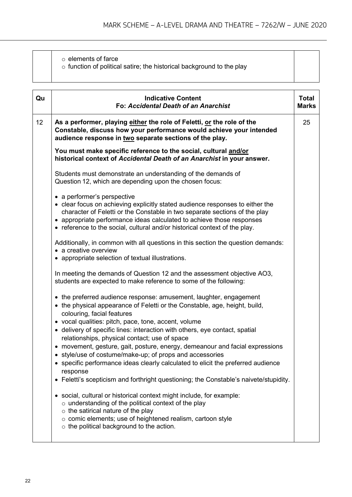| Qu              | <b>Indicative Content</b><br>Fo: Accidental Death of an Anarchist                                                                                                                                                                                                                                                                                                      | <b>Total</b><br><b>Marks</b> |
|-----------------|------------------------------------------------------------------------------------------------------------------------------------------------------------------------------------------------------------------------------------------------------------------------------------------------------------------------------------------------------------------------|------------------------------|
| 12 <sub>2</sub> | As a performer, playing either the role of Feletti, or the role of the<br>Constable, discuss how your performance would achieve your intended<br>audience response in two separate sections of the play.                                                                                                                                                               | 25                           |
|                 | You must make specific reference to the social, cultural and/or<br>historical context of Accidental Death of an Anarchist in your answer.                                                                                                                                                                                                                              |                              |
|                 | Students must demonstrate an understanding of the demands of<br>Question 12, which are depending upon the chosen focus:                                                                                                                                                                                                                                                |                              |
|                 | • a performer's perspective<br>• clear focus on achieving explicitly stated audience responses to either the<br>character of Feletti or the Constable in two separate sections of the play<br>• appropriate performance ideas calculated to achieve those responses<br>• reference to the social, cultural and/or historical context of the play.                      |                              |
|                 | Additionally, in common with all questions in this section the question demands:<br>• a creative overview<br>• appropriate selection of textual illustrations.                                                                                                                                                                                                         |                              |
|                 | In meeting the demands of Question 12 and the assessment objective AO3,<br>students are expected to make reference to some of the following:                                                                                                                                                                                                                           |                              |
|                 | • the preferred audience response: amusement, laughter, engagement<br>• the physical appearance of Feletti or the Constable, age, height, build,<br>colouring, facial features<br>• vocal qualities: pitch, pace, tone, accent, volume<br>• delivery of specific lines: interaction with others, eye contact, spatial<br>relationships, physical contact; use of space |                              |
|                 | • movement, gesture, gait, posture, energy, demeanour and facial expressions<br>style/use of costume/make-up; of props and accessories<br>• specific performance ideas clearly calculated to elicit the preferred audience<br>response<br>• Feletti's scepticism and forthright questioning; the Constable's naivete/stupidity.                                        |                              |
|                 | social, cultural or historical context might include, for example:<br>$\circ$ understanding of the political context of the play<br>$\circ$ the satirical nature of the play<br>o comic elements; use of heightened realism, cartoon style<br>$\circ$ the political background to the action.                                                                          |                              |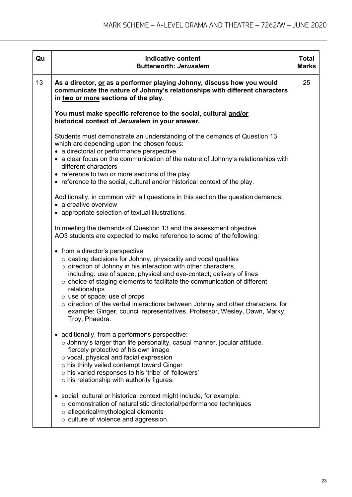| Qu | <b>Indicative content</b><br><b>Butterworth: Jerusalem</b>                                                                                                                                                                                                                                                                                                                                                                                                                                                                                                                                   | <b>Total</b><br><b>Marks</b> |
|----|----------------------------------------------------------------------------------------------------------------------------------------------------------------------------------------------------------------------------------------------------------------------------------------------------------------------------------------------------------------------------------------------------------------------------------------------------------------------------------------------------------------------------------------------------------------------------------------------|------------------------------|
| 13 | As a director, or as a performer playing Johnny, discuss how you would<br>communicate the nature of Johnny's relationships with different characters<br>in two or more sections of the play.                                                                                                                                                                                                                                                                                                                                                                                                 | 25                           |
|    | You must make specific reference to the social, cultural and/or<br>historical context of Jerusalem in your answer.                                                                                                                                                                                                                                                                                                                                                                                                                                                                           |                              |
|    | Students must demonstrate an understanding of the demands of Question 13<br>which are depending upon the chosen focus:<br>• a directorial or performance perspective<br>• a clear focus on the communication of the nature of Johnny's relationships with                                                                                                                                                                                                                                                                                                                                    |                              |
|    | different characters<br>• reference to two or more sections of the play<br>• reference to the social, cultural and/or historical context of the play.                                                                                                                                                                                                                                                                                                                                                                                                                                        |                              |
|    | Additionally, in common with all questions in this section the question demands:<br>• a creative overview<br>• appropriate selection of textual illustrations.                                                                                                                                                                                                                                                                                                                                                                                                                               |                              |
|    | In meeting the demands of Question 13 and the assessment objective<br>AO3 students are expected to make reference to some of the following:                                                                                                                                                                                                                                                                                                                                                                                                                                                  |                              |
|    | • from a director's perspective:<br>$\circ$ casting decisions for Johnny, physicality and vocal qualities<br>$\circ$ direction of Johnny in his interaction with other characters,<br>including: use of space, physical and eye-contact; delivery of lines<br>$\circ$ choice of staging elements to facilitate the communication of different<br>relationships<br>$\circ$ use of space; use of props<br>$\circ$ direction of the verbal interactions between Johnny and other characters, for<br>example: Ginger, council representatives, Professor, Wesley, Dawn, Marky,<br>Troy, Phaedra. |                              |
|    | • additionally, from a performer's perspective:<br>o Johnny's larger than life personality, casual manner, jocular attitude,<br>fiercely protective of his own image<br>o vocal, physical and facial expression<br>$\circ$ his thinly veiled contempt toward Ginger<br>o his varied responses to his 'tribe' of 'followers'<br>$\circ$ his relationship with authority figures.                                                                                                                                                                                                              |                              |
|    | • social, cultural or historical context might include, for example:<br>$\circ$ demonstration of naturalistic directorial/performance techniques<br>$\circ$ allegorical/mythological elements<br>$\circ$ culture of violence and aggression.                                                                                                                                                                                                                                                                                                                                                 |                              |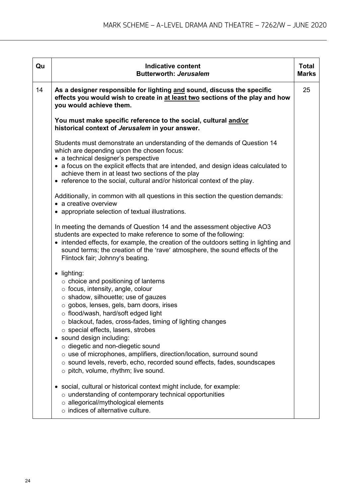| Qu | <b>Indicative content</b><br><b>Butterworth: Jerusalem</b>                                                                                                                                                                                                                                                                                                                                                                                                                                                                                                                                                          | <b>Total</b><br><b>Marks</b> |
|----|---------------------------------------------------------------------------------------------------------------------------------------------------------------------------------------------------------------------------------------------------------------------------------------------------------------------------------------------------------------------------------------------------------------------------------------------------------------------------------------------------------------------------------------------------------------------------------------------------------------------|------------------------------|
| 14 | As a designer responsible for lighting and sound, discuss the specific<br>effects you would wish to create in at least two sections of the play and how<br>you would achieve them.                                                                                                                                                                                                                                                                                                                                                                                                                                  | 25                           |
|    | You must make specific reference to the social, cultural and/or<br>historical context of Jerusalem in your answer.                                                                                                                                                                                                                                                                                                                                                                                                                                                                                                  |                              |
|    | Students must demonstrate an understanding of the demands of Question 14<br>which are depending upon the chosen focus:<br>• a technical designer's perspective<br>• a focus on the explicit effects that are intended, and design ideas calculated to<br>achieve them in at least two sections of the play<br>• reference to the social, cultural and/or historical context of the play.                                                                                                                                                                                                                            |                              |
|    | Additionally, in common with all questions in this section the question demands:<br>• a creative overview<br>• appropriate selection of textual illustrations.                                                                                                                                                                                                                                                                                                                                                                                                                                                      |                              |
|    | In meeting the demands of Question 14 and the assessment objective AO3<br>students are expected to make reference to some of the following:<br>• intended effects, for example, the creation of the outdoors setting in lighting and<br>sound terms; the creation of the 'rave' atmosphere, the sound effects of the<br>Flintock fair; Johnny's beating.                                                                                                                                                                                                                                                            |                              |
|    | • lighting:<br>$\circ$ choice and positioning of lanterns<br>o focus, intensity, angle, colour<br>$\circ$ shadow, silhouette; use of gauzes<br>o gobos, lenses, gels, barn doors, irises<br>o flood/wash, hard/soft edged light<br>o blackout, fades, cross-fades, timing of lighting changes<br>$\circ$ special effects, lasers, strobes<br>• sound design including:<br>$\circ$ diegetic and non-diegetic sound<br>o use of microphones, amplifiers, direction/location, surround sound<br>o sound levels, reverb, echo, recorded sound effects, fades, soundscapes<br>$\circ$ pitch, volume, rhythm; live sound. |                              |
|    | • social, cultural or historical context might include, for example:<br>$\circ$ understanding of contemporary technical opportunities<br>o allegorical/mythological elements<br>$\circ$ indices of alternative culture.                                                                                                                                                                                                                                                                                                                                                                                             |                              |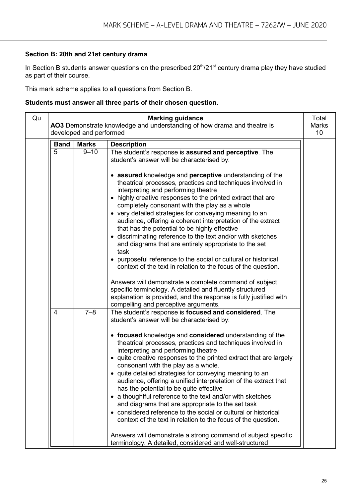#### **Section B: 20th and 21st century drama**

In Section B students answer questions on the prescribed 20<sup>th</sup>/21<sup>st</sup> century drama play they have studied as part of their course.

This mark scheme applies to all questions from Section B.

#### **Students must answer all three parts of their chosen question.**

| Qu |                | developed and performed | <b>Marking guidance</b><br>AO3 Demonstrate knowledge and understanding of how drama and theatre is                                                                                                                                                                                                                                                                                                                                                                                                                                                                                                                                                                                                                                                                                                                                                                                                                   | Total<br><b>Marks</b><br>10 |
|----|----------------|-------------------------|----------------------------------------------------------------------------------------------------------------------------------------------------------------------------------------------------------------------------------------------------------------------------------------------------------------------------------------------------------------------------------------------------------------------------------------------------------------------------------------------------------------------------------------------------------------------------------------------------------------------------------------------------------------------------------------------------------------------------------------------------------------------------------------------------------------------------------------------------------------------------------------------------------------------|-----------------------------|
|    | <b>Band</b>    | <b>Marks</b>            | <b>Description</b>                                                                                                                                                                                                                                                                                                                                                                                                                                                                                                                                                                                                                                                                                                                                                                                                                                                                                                   |                             |
|    | 5              | $9 - 10$                | The student's response is assured and perceptive. The<br>student's answer will be characterised by:                                                                                                                                                                                                                                                                                                                                                                                                                                                                                                                                                                                                                                                                                                                                                                                                                  |                             |
|    |                |                         | • assured knowledge and perceptive understanding of the<br>theatrical processes, practices and techniques involved in<br>interpreting and performing theatre<br>• highly creative responses to the printed extract that are<br>completely consonant with the play as a whole<br>• very detailed strategies for conveying meaning to an<br>audience, offering a coherent interpretation of the extract<br>that has the potential to be highly effective<br>• discriminating reference to the text and/or with sketches<br>and diagrams that are entirely appropriate to the set<br>task<br>• purposeful reference to the social or cultural or historical<br>context of the text in relation to the focus of the question.<br>Answers will demonstrate a complete command of subject<br>specific terminology. A detailed and fluently structured<br>explanation is provided, and the response is fully justified with |                             |
|    | $\overline{4}$ | $7 - 8$                 | compelling and perceptive arguments.<br>The student's response is focused and considered. The<br>student's answer will be characterised by:<br>• focused knowledge and considered understanding of the<br>theatrical processes, practices and techniques involved in<br>interpreting and performing theatre<br>• quite creative responses to the printed extract that are largely<br>consonant with the play as a whole.<br>• quite detailed strategies for conveying meaning to an<br>audience, offering a unified interpretation of the extract that<br>has the potential to be quite effective<br>• a thoughtful reference to the text and/or with sketches<br>and diagrams that are appropriate to the set task<br>• considered reference to the social or cultural or historical<br>context of the text in relation to the focus of the question.                                                               |                             |
|    |                |                         | Answers will demonstrate a strong command of subject specific<br>terminology. A detailed, considered and well-structured                                                                                                                                                                                                                                                                                                                                                                                                                                                                                                                                                                                                                                                                                                                                                                                             |                             |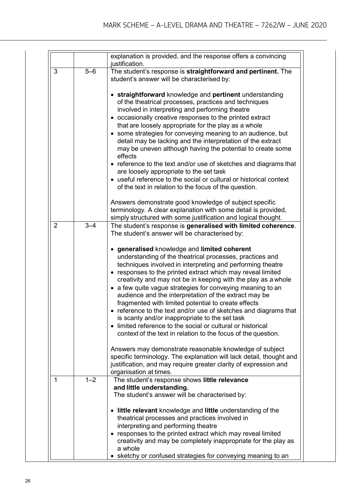|                |         | explanation is provided, and the response offers a convincing<br>justification.                                                                                                                                                                                                                                                                                                                                                                                                                                                                                                                                                                                                                                                                                                                                                                                                                                                                                                                 |
|----------------|---------|-------------------------------------------------------------------------------------------------------------------------------------------------------------------------------------------------------------------------------------------------------------------------------------------------------------------------------------------------------------------------------------------------------------------------------------------------------------------------------------------------------------------------------------------------------------------------------------------------------------------------------------------------------------------------------------------------------------------------------------------------------------------------------------------------------------------------------------------------------------------------------------------------------------------------------------------------------------------------------------------------|
| 3              | $5 - 6$ | The student's response is straightforward and pertinent. The<br>student's answer will be characterised by:                                                                                                                                                                                                                                                                                                                                                                                                                                                                                                                                                                                                                                                                                                                                                                                                                                                                                      |
|                |         | • straightforward knowledge and pertinent understanding<br>of the theatrical processes, practices and techniques<br>involved in interpreting and performing theatre<br>• occasionally creative responses to the printed extract<br>that are loosely appropriate for the play as a whole<br>• some strategies for conveying meaning to an audience, but<br>detail may be lacking and the interpretation of the extract<br>may be uneven although having the potential to create some<br>effects<br>• reference to the text and/or use of sketches and diagrams that<br>are loosely appropriate to the set task<br>• useful reference to the social or cultural or historical context<br>of the text in relation to the focus of the question.<br>Answers demonstrate good knowledge of subject specific<br>terminology. A clear explanation with some detail is provided,                                                                                                                        |
|                |         | simply structured with some justification and logical thought.                                                                                                                                                                                                                                                                                                                                                                                                                                                                                                                                                                                                                                                                                                                                                                                                                                                                                                                                  |
| $\overline{2}$ | $3 - 4$ | The student's response is generalised with limited coherence.<br>The student's answer will be characterised by:<br>• generalised knowledge and limited coherent<br>understanding of the theatrical processes, practices and<br>techniques involved in interpreting and performing theatre<br>• responses to the printed extract which may reveal limited<br>creativity and may not be in keeping with the play as a whole<br>• a few quite vague strategies for conveying meaning to an<br>audience and the interpretation of the extract may be<br>fragmented with limited potential to create effects<br>• reference to the text and/or use of sketches and diagrams that<br>is scanty and/or inappropriate to the set task<br>• limited reference to the social or cultural or historical<br>context of the text in relation to the focus of the question.<br>Answers may demonstrate reasonable knowledge of subject<br>specific terminology. The explanation will lack detail, thought and |
|                |         | justification, and may require greater clarity of expression and<br>organisation at times.                                                                                                                                                                                                                                                                                                                                                                                                                                                                                                                                                                                                                                                                                                                                                                                                                                                                                                      |
| 1              | $1 - 2$ | The student's response shows little relevance<br>and little understanding.<br>The student's answer will be characterised by:<br>• little relevant knowledge and little understanding of the<br>theatrical processes and practices involved in<br>interpreting and performing theatre<br>• responses to the printed extract which may reveal limited<br>creativity and may be completely inappropriate for the play as<br>a whole<br>sketchy or confused strategies for conveying meaning to an                                                                                                                                                                                                                                                                                                                                                                                                                                                                                                  |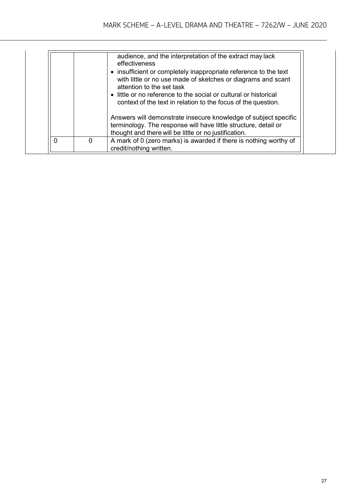|          | audience, and the interpretation of the extract may lack<br>effectiveness<br>• insufficient or completely inappropriate reference to the text<br>with little or no use made of sketches or diagrams and scant<br>attention to the set task<br>• little or no reference to the social or cultural or historical<br>context of the text in relation to the focus of the question. |
|----------|---------------------------------------------------------------------------------------------------------------------------------------------------------------------------------------------------------------------------------------------------------------------------------------------------------------------------------------------------------------------------------|
|          | Answers will demonstrate insecure knowledge of subject specific<br>terminology. The response will have little structure, detail or<br>thought and there will be little or no justification.                                                                                                                                                                                     |
| $\Omega$ | A mark of 0 (zero marks) is awarded if there is nothing worthy of<br>credit/nothing written.                                                                                                                                                                                                                                                                                    |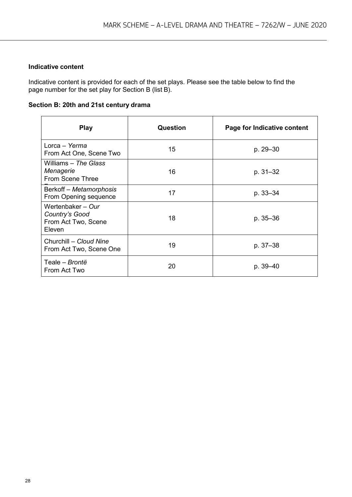#### **Indicative content**

Indicative content is provided for each of the set plays. Please see the table below to find the page number for the set play for Section B (list B).

**Section B: 20th and 21st century drama**

| <b>Play</b>                                                          | <b>Question</b> | Page for Indicative content |
|----------------------------------------------------------------------|-----------------|-----------------------------|
| Lorca – Yerma<br>From Act One, Scene Two                             | 15              | p. 29-30                    |
| Williams – The Glass<br>Menagerie<br><b>From Scene Three</b>         | 16              | p. 31–32                    |
| Berkoff - Metamorphosis<br>From Opening sequence                     | 17              | p. 33–34                    |
| Wertenbaker - Our<br>Country's Good<br>From Act Two, Scene<br>Eleven | 18              | p. 35-36                    |
| Churchill - Cloud Nine<br>From Act Two, Scene One                    | 19              | p. 37-38                    |
| Teale - Brontë<br>From Act Two                                       | 20              | p. 39-40                    |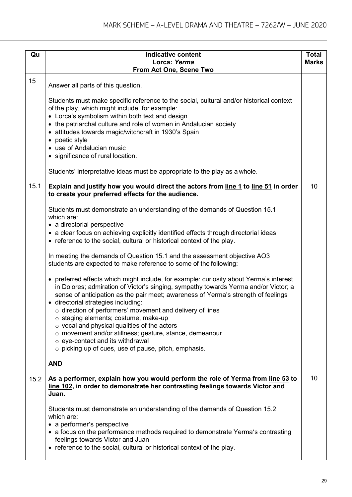| Qu   | <b>Indicative content</b>                                                                                                                                                                                                                                                                                                                                                                                                                                                                                                                                                                                                               | <b>Total</b> |
|------|-----------------------------------------------------------------------------------------------------------------------------------------------------------------------------------------------------------------------------------------------------------------------------------------------------------------------------------------------------------------------------------------------------------------------------------------------------------------------------------------------------------------------------------------------------------------------------------------------------------------------------------------|--------------|
|      | Lorca: Yerma<br>From Act One, Scene Two                                                                                                                                                                                                                                                                                                                                                                                                                                                                                                                                                                                                 | <b>Marks</b> |
| 15   |                                                                                                                                                                                                                                                                                                                                                                                                                                                                                                                                                                                                                                         |              |
|      | Answer all parts of this question.<br>Students must make specific reference to the social, cultural and/or historical context<br>of the play, which might include, for example:<br>• Lorca's symbolism within both text and design<br>• the patriarchal culture and role of women in Andalucian society<br>• attitudes towards magic/witchcraft in 1930's Spain<br>• poetic style<br>• use of Andalucian music<br>• significance of rural location.                                                                                                                                                                                     |              |
|      | Students' interpretative ideas must be appropriate to the play as a whole.                                                                                                                                                                                                                                                                                                                                                                                                                                                                                                                                                              |              |
| 15.1 | Explain and justify how you would direct the actors from line 1 to line 51 in order<br>to create your preferred effects for the audience.                                                                                                                                                                                                                                                                                                                                                                                                                                                                                               | 10           |
|      | Students must demonstrate an understanding of the demands of Question 15.1<br>which are:<br>• a directorial perspective<br>• a clear focus on achieving explicitly identified effects through directorial ideas<br>• reference to the social, cultural or historical context of the play.                                                                                                                                                                                                                                                                                                                                               |              |
|      | In meeting the demands of Question 15.1 and the assessment objective AO3<br>students are expected to make reference to some of the following:                                                                                                                                                                                                                                                                                                                                                                                                                                                                                           |              |
|      | • preferred effects which might include, for example: curiosity about Yerma's interest<br>in Dolores; admiration of Victor's singing, sympathy towards Yerma and/or Victor; a<br>sense of anticipation as the pair meet; awareness of Yerma's strength of feelings<br>· directorial strategies including:<br>$\circ$ direction of performers' movement and delivery of lines<br>$\circ$ staging elements; costume, make-up<br>$\circ$ vocal and physical qualities of the actors<br>o movement and/or stillness; gesture, stance, demeanour<br>o eye-contact and its withdrawal<br>o picking up of cues, use of pause, pitch, emphasis. |              |
|      | <b>AND</b>                                                                                                                                                                                                                                                                                                                                                                                                                                                                                                                                                                                                                              |              |
| 15.2 | As a performer, explain how you would perform the role of Yerma from line 53 to<br>line 102, in order to demonstrate her contrasting feelings towards Victor and<br>Juan.                                                                                                                                                                                                                                                                                                                                                                                                                                                               | 10           |
|      | Students must demonstrate an understanding of the demands of Question 15.2<br>which are:<br>• a performer's perspective<br>• a focus on the performance methods required to demonstrate Yerma's contrasting<br>feelings towards Victor and Juan<br>• reference to the social, cultural or historical context of the play.                                                                                                                                                                                                                                                                                                               |              |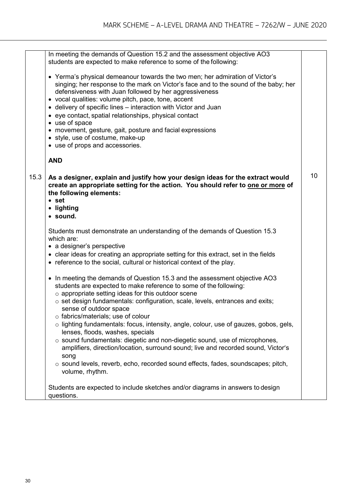|      | In meeting the demands of Question 15.2 and the assessment objective AO3<br>students are expected to make reference to some of the following:                                                                                                                                                                                                                                                                                                                                                                                                                                                                                                                                                                                                                                                 |    |
|------|-----------------------------------------------------------------------------------------------------------------------------------------------------------------------------------------------------------------------------------------------------------------------------------------------------------------------------------------------------------------------------------------------------------------------------------------------------------------------------------------------------------------------------------------------------------------------------------------------------------------------------------------------------------------------------------------------------------------------------------------------------------------------------------------------|----|
|      | • Yerma's physical demeanour towards the two men; her admiration of Victor's<br>singing; her response to the mark on Victor's face and to the sound of the baby; her<br>defensiveness with Juan followed by her aggressiveness<br>· vocal qualities: volume pitch, pace, tone, accent<br>• delivery of specific lines - interaction with Victor and Juan<br>• eye contact, spatial relationships, physical contact<br>• use of space<br>• movement, gesture, gait, posture and facial expressions<br>• style, use of costume, make-up<br>• use of props and accessories.                                                                                                                                                                                                                      |    |
|      | <b>AND</b>                                                                                                                                                                                                                                                                                                                                                                                                                                                                                                                                                                                                                                                                                                                                                                                    |    |
| 15.3 | As a designer, explain and justify how your design ideas for the extract would<br>create an appropriate setting for the action. You should refer to one or more of<br>the following elements:<br>$•$ set<br>• lighting<br>· sound.                                                                                                                                                                                                                                                                                                                                                                                                                                                                                                                                                            | 10 |
|      | Students must demonstrate an understanding of the demands of Question 15.3<br>which are:<br>• a designer's perspective<br>• clear ideas for creating an appropriate setting for this extract, set in the fields<br>• reference to the social, cultural or historical context of the play.                                                                                                                                                                                                                                                                                                                                                                                                                                                                                                     |    |
|      | • In meeting the demands of Question 15.3 and the assessment objective AO3<br>students are expected to make reference to some of the following:<br>$\circ$ appropriate setting ideas for this outdoor scene<br>o set design fundamentals: configuration, scale, levels, entrances and exits;<br>sense of outdoor space<br>$\circ$ fabrics/materials; use of colour<br>$\circ$ lighting fundamentals: focus, intensity, angle, colour, use of gauzes, gobos, gels,<br>lenses, floods, washes, specials<br>o sound fundamentals: diegetic and non-diegetic sound, use of microphones,<br>amplifiers, direction/location, surround sound; live and recorded sound, Victor's<br>song<br>$\circ$ sound levels, reverb, echo, recorded sound effects, fades, soundscapes; pitch,<br>volume, rhythm. |    |
|      | Students are expected to include sketches and/or diagrams in answers to design<br>questions.                                                                                                                                                                                                                                                                                                                                                                                                                                                                                                                                                                                                                                                                                                  |    |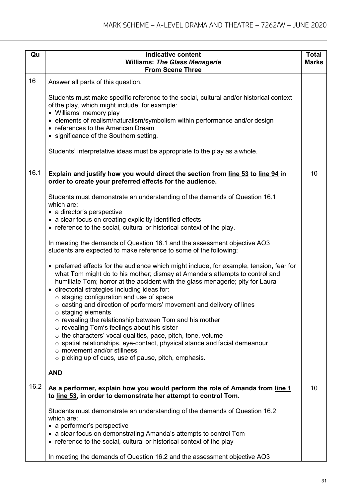| Qu   | <b>Indicative content</b><br><b>Williams: The Glass Menagerie</b><br><b>From Scene Three</b>                                                                                                                                                                                                                                                                        | <b>Total</b><br><b>Marks</b> |
|------|---------------------------------------------------------------------------------------------------------------------------------------------------------------------------------------------------------------------------------------------------------------------------------------------------------------------------------------------------------------------|------------------------------|
| 16   | Answer all parts of this question.                                                                                                                                                                                                                                                                                                                                  |                              |
|      | Students must make specific reference to the social, cultural and/or historical context<br>of the play, which might include, for example:<br>• Williams' memory play<br>• elements of realism/naturalism/symbolism within performance and/or design<br>• references to the American Dream<br>• significance of the Southern setting.                                |                              |
|      | Students' interpretative ideas must be appropriate to the play as a whole.                                                                                                                                                                                                                                                                                          |                              |
| 16.1 | Explain and justify how you would direct the section from line 53 to line 94 in<br>order to create your preferred effects for the audience.                                                                                                                                                                                                                         | 10                           |
|      | Students must demonstrate an understanding of the demands of Question 16.1<br>which are:<br>• a director's perspective<br>• a clear focus on creating explicitly identified effects<br>• reference to the social, cultural or historical context of the play.                                                                                                       |                              |
|      | In meeting the demands of Question 16.1 and the assessment objective AO3<br>students are expected to make reference to some of the following:                                                                                                                                                                                                                       |                              |
|      | • preferred effects for the audience which might include, for example, tension, fear for<br>what Tom might do to his mother; dismay at Amanda's attempts to control and<br>humiliate Tom; horror at the accident with the glass menagerie; pity for Laura<br>· directorial strategies including ideas for:<br>$\circ$ staging configuration and use of space        |                              |
|      | $\circ$ casting and direction of performers' movement and delivery of lines<br>$\circ$ staging elements                                                                                                                                                                                                                                                             |                              |
|      | o revealing the relationship between Tom and his mother<br>o revealing Tom's feelings about his sister<br>$\circ$ the characters' vocal qualities, pace, pitch, tone, volume<br>$\circ$ spatial relationships, eye-contact, physical stance and facial demeanour<br>$\circ$ movement and/or stillness<br>$\circ$ picking up of cues, use of pause, pitch, emphasis. |                              |
|      | <b>AND</b>                                                                                                                                                                                                                                                                                                                                                          |                              |
| 16.2 | As a performer, explain how you would perform the role of Amanda from line 1<br>to line 53, in order to demonstrate her attempt to control Tom.                                                                                                                                                                                                                     | 10                           |
|      | Students must demonstrate an understanding of the demands of Question 16.2<br>which are:<br>• a performer's perspective<br>• a clear focus on demonstrating Amanda's attempts to control Tom<br>• reference to the social, cultural or historical context of the play                                                                                               |                              |
|      | In meeting the demands of Question 16.2 and the assessment objective AO3                                                                                                                                                                                                                                                                                            |                              |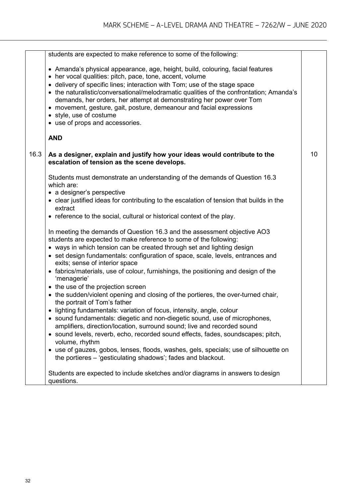|      | students are expected to make reference to some of the following:                                                                                                                                                                                                                                                                                                                                                                                                                                                                 |    |
|------|-----------------------------------------------------------------------------------------------------------------------------------------------------------------------------------------------------------------------------------------------------------------------------------------------------------------------------------------------------------------------------------------------------------------------------------------------------------------------------------------------------------------------------------|----|
|      | • Amanda's physical appearance, age, height, build, colouring, facial features<br>• her vocal qualities: pitch, pace, tone, accent, volume<br>• delivery of specific lines; interaction with Tom; use of the stage space<br>• the naturalistic/conversational/melodramatic qualities of the confrontation; Amanda's<br>demands, her orders, her attempt at demonstrating her power over Tom<br>• movement, gesture, gait, posture, demeanour and facial expressions<br>• style, use of costume<br>• use of props and accessories. |    |
|      | <b>AND</b>                                                                                                                                                                                                                                                                                                                                                                                                                                                                                                                        |    |
| 16.3 | As a designer, explain and justify how your ideas would contribute to the<br>escalation of tension as the scene develops.                                                                                                                                                                                                                                                                                                                                                                                                         | 10 |
|      | Students must demonstrate an understanding of the demands of Question 16.3<br>which are:<br>• a designer's perspective                                                                                                                                                                                                                                                                                                                                                                                                            |    |
|      | • clear justified ideas for contributing to the escalation of tension that builds in the<br>extract                                                                                                                                                                                                                                                                                                                                                                                                                               |    |
|      | • reference to the social, cultural or historical context of the play.                                                                                                                                                                                                                                                                                                                                                                                                                                                            |    |
|      | In meeting the demands of Question 16.3 and the assessment objective AO3<br>students are expected to make reference to some of the following:                                                                                                                                                                                                                                                                                                                                                                                     |    |
|      | • ways in which tension can be created through set and lighting design<br>• set design fundamentals: configuration of space, scale, levels, entrances and<br>exits; sense of interior space                                                                                                                                                                                                                                                                                                                                       |    |
|      | • fabrics/materials, use of colour, furnishings, the positioning and design of the<br>'menagerie'                                                                                                                                                                                                                                                                                                                                                                                                                                 |    |
|      | • the use of the projection screen                                                                                                                                                                                                                                                                                                                                                                                                                                                                                                |    |
|      | • the sudden/violent opening and closing of the portieres, the over-turned chair,<br>the portrait of Tom's father                                                                                                                                                                                                                                                                                                                                                                                                                 |    |
|      | lighting fundamentals: variation of focus, intensity, angle, colour                                                                                                                                                                                                                                                                                                                                                                                                                                                               |    |
|      | • sound fundamentals: diegetic and non-diegetic sound, use of microphones,<br>amplifiers, direction/location, surround sound; live and recorded sound                                                                                                                                                                                                                                                                                                                                                                             |    |
|      | • sound levels, reverb, echo, recorded sound effects, fades, soundscapes; pitch,<br>volume, rhythm                                                                                                                                                                                                                                                                                                                                                                                                                                |    |
|      | • use of gauzes, gobos, lenses, floods, washes, gels, specials; use of silhouette on<br>the portieres – 'gesticulating shadows'; fades and blackout.                                                                                                                                                                                                                                                                                                                                                                              |    |
|      | Students are expected to include sketches and/or diagrams in answers to design<br>questions.                                                                                                                                                                                                                                                                                                                                                                                                                                      |    |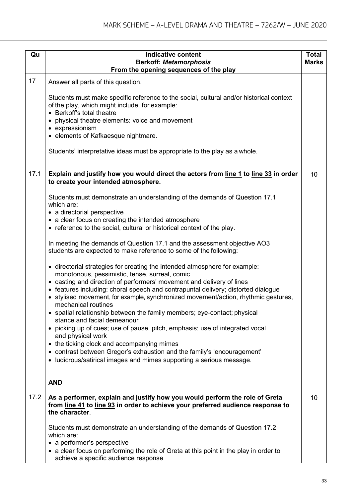| Qu   | <b>Indicative content</b>                                                                                                                                                                                                                                               | <b>Total</b> |
|------|-------------------------------------------------------------------------------------------------------------------------------------------------------------------------------------------------------------------------------------------------------------------------|--------------|
|      | <b>Berkoff: Metamorphosis</b>                                                                                                                                                                                                                                           | <b>Marks</b> |
|      | From the opening sequences of the play                                                                                                                                                                                                                                  |              |
| 17   | Answer all parts of this question.                                                                                                                                                                                                                                      |              |
|      | Students must make specific reference to the social, cultural and/or historical context<br>of the play, which might include, for example:<br>• Berkoff's total theatre                                                                                                  |              |
|      | • physical theatre elements: voice and movement<br>• expressionism                                                                                                                                                                                                      |              |
|      | • elements of Kafkaesque nightmare.                                                                                                                                                                                                                                     |              |
|      | Students' interpretative ideas must be appropriate to the play as a whole.                                                                                                                                                                                              |              |
| 17.1 | Explain and justify how you would direct the actors from line 1 to line 33 in order<br>to create your intended atmosphere.                                                                                                                                              | 10           |
|      | Students must demonstrate an understanding of the demands of Question 17.1<br>which are:                                                                                                                                                                                |              |
|      | • a directorial perspective<br>• a clear focus on creating the intended atmosphere                                                                                                                                                                                      |              |
|      | • reference to the social, cultural or historical context of the play.                                                                                                                                                                                                  |              |
|      | In meeting the demands of Question 17.1 and the assessment objective AO3<br>students are expected to make reference to some of the following:                                                                                                                           |              |
|      | • directorial strategies for creating the intended atmosphere for example:<br>monotonous, pessimistic, tense, surreal, comic                                                                                                                                            |              |
|      | • casting and direction of performers' movement and delivery of lines<br>• features including: choral speech and contrapuntal delivery; distorted dialogue<br>• stylised movement, for example, synchronized movement/action, rhythmic gestures,<br>mechanical routines |              |
|      | • spatial relationship between the family members; eye-contact; physical<br>stance and facial demeanour                                                                                                                                                                 |              |
|      | • picking up of cues; use of pause, pitch, emphasis; use of integrated vocal<br>and physical work                                                                                                                                                                       |              |
|      | • the ticking clock and accompanying mimes                                                                                                                                                                                                                              |              |
|      | • contrast between Gregor's exhaustion and the family's 'encouragement'<br>• Iudicrous/satirical images and mimes supporting a serious message.                                                                                                                         |              |
|      | <b>AND</b>                                                                                                                                                                                                                                                              |              |
| 17.2 | As a performer, explain and justify how you would perform the role of Greta<br>from line 41 to line 93 in order to achieve your preferred audience response to<br>the character.                                                                                        | 10           |
|      | Students must demonstrate an understanding of the demands of Question 17.2<br>which are:                                                                                                                                                                                |              |
|      | • a performer's perspective<br>• a clear focus on performing the role of Greta at this point in the play in order to<br>achieve a specific audience response                                                                                                            |              |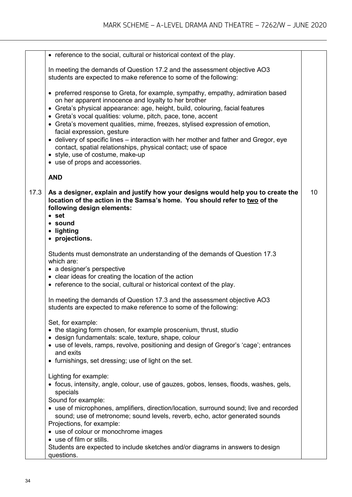|      | • reference to the social, cultural or historical context of the play.                                                                                                                                                                                                                                                                                                                                                                                                                                                                                                                                                                                 |    |
|------|--------------------------------------------------------------------------------------------------------------------------------------------------------------------------------------------------------------------------------------------------------------------------------------------------------------------------------------------------------------------------------------------------------------------------------------------------------------------------------------------------------------------------------------------------------------------------------------------------------------------------------------------------------|----|
|      | In meeting the demands of Question 17.2 and the assessment objective AO3<br>students are expected to make reference to some of the following:                                                                                                                                                                                                                                                                                                                                                                                                                                                                                                          |    |
|      | • preferred response to Greta, for example, sympathy, empathy, admiration based<br>on her apparent innocence and loyalty to her brother<br>• Greta's physical appearance: age, height, build, colouring, facial features<br>• Greta's vocal qualities: volume, pitch, pace, tone, accent<br>• Greta's movement qualities, mime, freezes, stylised expression of emotion,<br>facial expression, gesture<br>• delivery of specific lines – interaction with her mother and father and Gregor, eye<br>contact, spatial relationships, physical contact; use of space<br>• style, use of costume, make-up<br>• use of props and accessories.<br><b>AND</b> |    |
|      |                                                                                                                                                                                                                                                                                                                                                                                                                                                                                                                                                                                                                                                        |    |
| 17.3 | As a designer, explain and justify how your designs would help you to create the<br>location of the action in the Samsa's home. You should refer to two of the<br>following design elements:<br>$•$ set<br>• sound<br>• lighting<br>• projections.                                                                                                                                                                                                                                                                                                                                                                                                     | 10 |
|      | Students must demonstrate an understanding of the demands of Question 17.3<br>which are:<br>• a designer's perspective<br>• clear ideas for creating the location of the action<br>• reference to the social, cultural or historical context of the play.                                                                                                                                                                                                                                                                                                                                                                                              |    |
|      | In meeting the demands of Question 17.3 and the assessment objective AO3<br>students are expected to make reference to some of the following:                                                                                                                                                                                                                                                                                                                                                                                                                                                                                                          |    |
|      | Set, for example:<br>• the staging form chosen, for example proscenium, thrust, studio<br>· design fundamentals: scale, texture, shape, colour<br>• use of levels, ramps, revolve, positioning and design of Gregor's 'cage'; entrances<br>and exits<br>• furnishings, set dressing; use of light on the set.                                                                                                                                                                                                                                                                                                                                          |    |
|      | Lighting for example:<br>• focus, intensity, angle, colour, use of gauzes, gobos, lenses, floods, washes, gels,<br>specials<br>Sound for example:                                                                                                                                                                                                                                                                                                                                                                                                                                                                                                      |    |
|      | • use of microphones, amplifiers, direction/location, surround sound; live and recorded<br>sound; use of metronome; sound levels, reverb, echo, actor generated sounds<br>Projections, for example:<br>• use of colour or monochrome images                                                                                                                                                                                                                                                                                                                                                                                                            |    |
|      | • use of film or stills.<br>Students are expected to include sketches and/or diagrams in answers to design<br>questions.                                                                                                                                                                                                                                                                                                                                                                                                                                                                                                                               |    |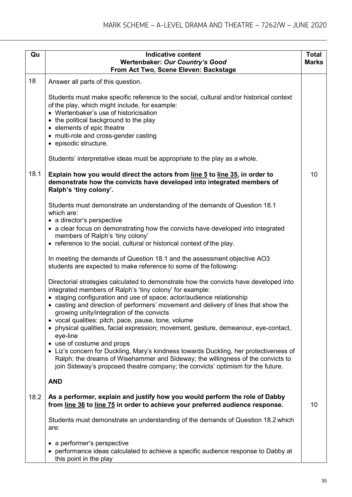| Qu   | <b>Indicative content</b><br><b>Wertenbaker: Our Country's Good</b><br>From Act Two, Scene Eleven: Backstage                                                                                                                                                                                                                                                   | <b>Total</b><br><b>Marks</b> |
|------|----------------------------------------------------------------------------------------------------------------------------------------------------------------------------------------------------------------------------------------------------------------------------------------------------------------------------------------------------------------|------------------------------|
| 18   | Answer all parts of this question.                                                                                                                                                                                                                                                                                                                             |                              |
|      | Students must make specific reference to the social, cultural and/or historical context<br>of the play, which might include, for example:<br>• Wertenbaker's use of historicisation<br>• the political background to the play<br>• elements of epic theatre<br>• multi-role and cross-gender casting<br>• episodic structure.                                  |                              |
|      | Students' interpretative ideas must be appropriate to the play as a whole.                                                                                                                                                                                                                                                                                     |                              |
| 18.1 | Explain how you would direct the actors from line 5 to line 35, in order to<br>demonstrate how the convicts have developed into integrated members of<br>Ralph's 'tiny colony'.                                                                                                                                                                                | 10                           |
|      | Students must demonstrate an understanding of the demands of Question 18.1<br>which are:<br>• a director's perspective                                                                                                                                                                                                                                         |                              |
|      | • a clear focus on demonstrating how the convicts have developed into integrated<br>members of Ralph's 'tiny colony'                                                                                                                                                                                                                                           |                              |
|      | • reference to the social, cultural or historical context of the play.                                                                                                                                                                                                                                                                                         |                              |
|      | In meeting the demands of Question 18.1 and the assessment objective AO3<br>students are expected to make reference to some of the following:                                                                                                                                                                                                                  |                              |
|      | Directorial strategies calculated to demonstrate how the convicts have developed into<br>integrated members of Ralph's 'tiny colony' for example:<br>• staging configuration and use of space; actor/audience relationship<br>• casting and direction of performers' movement and delivery of lines that show the<br>growing unity/integration of the convicts |                              |
|      | • vocal qualities: pitch, pace, pause, tone, volume<br>• physical qualities, facial expression; movement, gesture, demeanour, eye-contact,<br>eye-line                                                                                                                                                                                                         |                              |
|      | • use of costume and props<br>• Liz's concern for Duckling, Mary's kindness towards Duckling, her protectiveness of<br>Ralph; the dreams of Wisehammer and Sideway; the willingness of the convicts to<br>join Sideway's proposed theatre company; the convicts' optimism for the future.                                                                      |                              |
|      | <b>AND</b>                                                                                                                                                                                                                                                                                                                                                     |                              |
| 18.2 | As a performer, explain and justify how you would perform the role of Dabby<br>from line 36 to line 75 in order to achieve your preferred audience response.                                                                                                                                                                                                   | 10                           |
|      | Students must demonstrate an understanding of the demands of Question 18.2 which<br>are:                                                                                                                                                                                                                                                                       |                              |
|      | a performer's perspective<br>• performance ideas calculated to achieve a specific audience response to Dabby at<br>this point in the play                                                                                                                                                                                                                      |                              |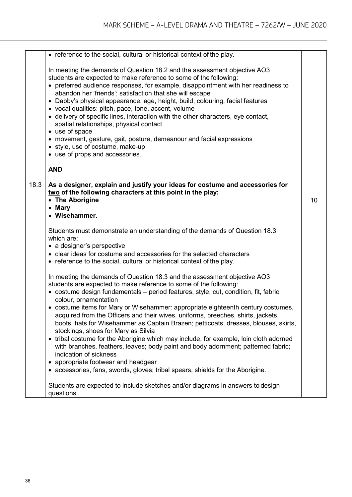|      | • reference to the social, cultural or historical context of the play.                                                                                                                                                                                                                                                                                                                                                                                                                                                                                                                                                                                                                                                                                                                                              |    |
|------|---------------------------------------------------------------------------------------------------------------------------------------------------------------------------------------------------------------------------------------------------------------------------------------------------------------------------------------------------------------------------------------------------------------------------------------------------------------------------------------------------------------------------------------------------------------------------------------------------------------------------------------------------------------------------------------------------------------------------------------------------------------------------------------------------------------------|----|
|      | In meeting the demands of Question 18.2 and the assessment objective AO3<br>students are expected to make reference to some of the following:<br>• preferred audience responses, for example, disappointment with her readiness to<br>abandon her 'friends'; satisfaction that she will escape<br>• Dabby's physical appearance, age, height, build, colouring, facial features<br>• vocal qualities: pitch, pace, tone, accent, volume<br>• delivery of specific lines, interaction with the other characters, eye contact,<br>spatial relationships, physical contact<br>• use of space<br>• movement, gesture, gait, posture, demeanour and facial expressions<br>• style, use of costume, make-up<br>• use of props and accessories.                                                                            |    |
|      | <b>AND</b>                                                                                                                                                                                                                                                                                                                                                                                                                                                                                                                                                                                                                                                                                                                                                                                                          |    |
| 18.3 | As a designer, explain and justify your ideas for costume and accessories for<br>two of the following characters at this point in the play:<br>• The Aborigine<br>• Mary<br>• Wisehammer.                                                                                                                                                                                                                                                                                                                                                                                                                                                                                                                                                                                                                           | 10 |
|      | Students must demonstrate an understanding of the demands of Question 18.3<br>which are:<br>• a designer's perspective<br>• clear ideas for costume and accessories for the selected characters<br>• reference to the social, cultural or historical context of the play.                                                                                                                                                                                                                                                                                                                                                                                                                                                                                                                                           |    |
|      | In meeting the demands of Question 18.3 and the assessment objective AO3<br>students are expected to make reference to some of the following:<br>• costume design fundamentals – period features, style, cut, condition, fit, fabric,<br>colour, ornamentation<br>• costume items for Mary or Wisehammer: appropriate eighteenth century costumes,<br>acquired from the Officers and their wives, uniforms, breeches, shirts, jackets,<br>boots, hats for Wisehammer as Captain Brazen; petticoats, dresses, blouses, skirts,<br>stockings, shoes for Mary as Silvia<br>• tribal costume for the Aborigine which may include, for example, loin cloth adorned<br>with branches, feathers, leaves; body paint and body adornment; patterned fabric;<br>indication of sickness<br>• appropriate footwear and headgear |    |
|      | • accessories, fans, swords, gloves; tribal spears, shields for the Aborigine.<br>Students are expected to include sketches and/or diagrams in answers to design<br>questions.                                                                                                                                                                                                                                                                                                                                                                                                                                                                                                                                                                                                                                      |    |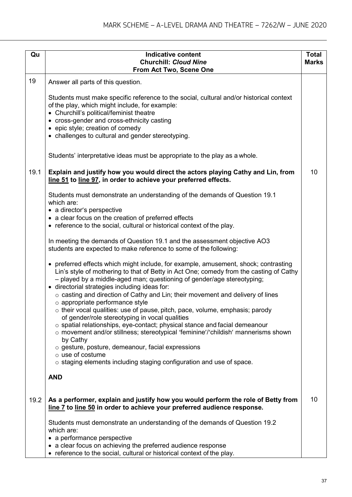| Qu   | <b>Indicative content</b>                                                                                                                                                                                                                                                                                | <b>Total</b> |
|------|----------------------------------------------------------------------------------------------------------------------------------------------------------------------------------------------------------------------------------------------------------------------------------------------------------|--------------|
|      | <b>Churchill: Cloud Nine</b>                                                                                                                                                                                                                                                                             | <b>Marks</b> |
|      | From Act Two, Scene One                                                                                                                                                                                                                                                                                  |              |
| 19   | Answer all parts of this question.                                                                                                                                                                                                                                                                       |              |
|      | Students must make specific reference to the social, cultural and/or historical context<br>of the play, which might include, for example:<br>• Churchill's political/feminist theatre                                                                                                                    |              |
|      | • cross-gender and cross-ethnicity casting<br>• epic style; creation of comedy                                                                                                                                                                                                                           |              |
|      | • challenges to cultural and gender stereotyping.                                                                                                                                                                                                                                                        |              |
|      | Students' interpretative ideas must be appropriate to the play as a whole.                                                                                                                                                                                                                               |              |
| 19.1 | Explain and justify how you would direct the actors playing Cathy and Lin, from<br>line 51 to line 97, in order to achieve your preferred effects.                                                                                                                                                       | 10           |
|      | Students must demonstrate an understanding of the demands of Question 19.1<br>which are:<br>• a director's perspective                                                                                                                                                                                   |              |
|      | • a clear focus on the creation of preferred effects                                                                                                                                                                                                                                                     |              |
|      | • reference to the social, cultural or historical context of the play.                                                                                                                                                                                                                                   |              |
|      | In meeting the demands of Question 19.1 and the assessment objective AO3<br>students are expected to make reference to some of the following:                                                                                                                                                            |              |
|      | • preferred effects which might include, for example, amusement, shock; contrasting<br>Lin's style of mothering to that of Betty in Act One; comedy from the casting of Cathy<br>- played by a middle-aged man; questioning of gender/age stereotyping;<br>· directorial strategies including ideas for: |              |
|      | $\circ$ casting and direction of Cathy and Lin; their movement and delivery of lines                                                                                                                                                                                                                     |              |
|      | $\circ$ appropriate performance style<br>$\circ$ their vocal qualities: use of pause, pitch, pace, volume, emphasis; parody<br>of gender/role stereotyping in vocal qualities                                                                                                                            |              |
|      | $\circ$ spatial relationships, eye-contact; physical stance and facial demeanour<br>$\circ$ movement and/or stillness; stereotypical 'feminine'/'childish' mannerisms shown<br>by Cathy                                                                                                                  |              |
|      | $\circ$ gesture, posture, demeanour, facial expressions                                                                                                                                                                                                                                                  |              |
|      | $\circ$ use of costume<br>$\circ$ staging elements including staging configuration and use of space.                                                                                                                                                                                                     |              |
|      | <b>AND</b>                                                                                                                                                                                                                                                                                               |              |
| 19.2 | As a performer, explain and justify how you would perform the role of Betty from<br>line 7 to line 50 in order to achieve your preferred audience response.                                                                                                                                              | 10           |
|      | Students must demonstrate an understanding of the demands of Question 19.2<br>which are:                                                                                                                                                                                                                 |              |
|      | • a performance perspective<br>• a clear focus on achieving the preferred audience response                                                                                                                                                                                                              |              |
|      | • reference to the social, cultural or historical context of the play.                                                                                                                                                                                                                                   |              |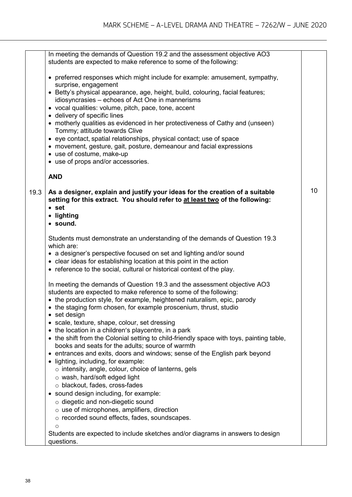|      | In meeting the demands of Question 19.2 and the assessment objective AO3<br>students are expected to make reference to some of the following:                |    |
|------|--------------------------------------------------------------------------------------------------------------------------------------------------------------|----|
|      | • preferred responses which might include for example: amusement, sympathy,<br>surprise, engagement                                                          |    |
|      | • Betty's physical appearance, age, height, build, colouring, facial features;<br>idiosyncrasies – echoes of Act One in mannerisms                           |    |
|      | • vocal qualities: volume, pitch, pace, tone, accent                                                                                                         |    |
|      | • delivery of specific lines<br>• motherly qualities as evidenced in her protectiveness of Cathy and (unseen)                                                |    |
|      | Tommy; attitude towards Clive                                                                                                                                |    |
|      | • eye contact, spatial relationships, physical contact; use of space                                                                                         |    |
|      | • movement, gesture, gait, posture, demeanour and facial expressions                                                                                         |    |
|      | • use of costume, make-up                                                                                                                                    |    |
|      | • use of props and/or accessories.                                                                                                                           |    |
|      | <b>AND</b>                                                                                                                                                   |    |
| 19.3 | As a designer, explain and justify your ideas for the creation of a suitable<br>setting for this extract. You should refer to at least two of the following: | 10 |
|      | $•$ set                                                                                                                                                      |    |
|      | • lighting                                                                                                                                                   |    |
|      | · sound.                                                                                                                                                     |    |
|      | Students must demonstrate an understanding of the demands of Question 19.3<br>which are:                                                                     |    |
|      | • a designer's perspective focused on set and lighting and/or sound                                                                                          |    |
|      | • clear ideas for establishing location at this point in the action                                                                                          |    |
|      | • reference to the social, cultural or historical context of the play.                                                                                       |    |
|      | In meeting the demands of Question 19.3 and the assessment objective AO3                                                                                     |    |
|      | students are expected to make reference to some of the following:<br>• the production style, for example, heightened naturalism, epic, parody                |    |
|      | • the staging form chosen, for example proscenium, thrust, studio                                                                                            |    |
|      | set design<br>$\bullet$                                                                                                                                      |    |
|      | • scale, texture, shape, colour, set dressing                                                                                                                |    |
|      | • the location in a children's playcentre, in a park                                                                                                         |    |
|      | • the shift from the Colonial setting to child-friendly space with toys, painting table,<br>books and seats for the adults; source of warmth                 |    |
|      | • entrances and exits, doors and windows; sense of the English park beyond                                                                                   |    |
|      | lighting, including, for example:                                                                                                                            |    |
|      | $\circ$ intensity, angle, colour, choice of lanterns, gels                                                                                                   |    |
|      | o wash, hard/soft edged light                                                                                                                                |    |
|      | o blackout, fades, cross-fades                                                                                                                               |    |
|      | sound design including, for example:                                                                                                                         |    |
|      | $\circ$ diegetic and non-diegetic sound                                                                                                                      |    |
|      | $\circ$ use of microphones, amplifiers, direction                                                                                                            |    |
|      | o recorded sound effects, fades, soundscapes.                                                                                                                |    |
|      | $\circ$<br>Students are expected to include sketches and/or diagrams in answers to design                                                                    |    |
|      | questions.                                                                                                                                                   |    |
|      |                                                                                                                                                              |    |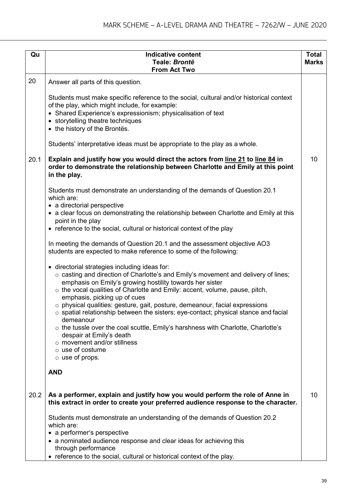| Qu   | <b>Indicative content</b>                                                                                                                                                                                                                                                                                                                                                                                                                                                                                                                                                                                                                                                                                              | <b>Total</b> |
|------|------------------------------------------------------------------------------------------------------------------------------------------------------------------------------------------------------------------------------------------------------------------------------------------------------------------------------------------------------------------------------------------------------------------------------------------------------------------------------------------------------------------------------------------------------------------------------------------------------------------------------------------------------------------------------------------------------------------------|--------------|
|      | Teale: Brontë<br><b>From Act Two</b>                                                                                                                                                                                                                                                                                                                                                                                                                                                                                                                                                                                                                                                                                   | <b>Marks</b> |
| 20   | Answer all parts of this question.                                                                                                                                                                                                                                                                                                                                                                                                                                                                                                                                                                                                                                                                                     |              |
|      | Students must make specific reference to the social, cultural and/or historical context<br>of the play, which might include, for example:<br>• Shared Experience's expressionism; physicalisation of text<br>• storytelling theatre techniques<br>• the history of the Brontës.                                                                                                                                                                                                                                                                                                                                                                                                                                        |              |
|      | Students' interpretative ideas must be appropriate to the play as a whole.                                                                                                                                                                                                                                                                                                                                                                                                                                                                                                                                                                                                                                             |              |
| 20.1 | Explain and justify how you would direct the actors from line 21 to line 84 in<br>order to demonstrate the relationship between Charlotte and Emily at this point<br>in the play.                                                                                                                                                                                                                                                                                                                                                                                                                                                                                                                                      | 10           |
|      | Students must demonstrate an understanding of the demands of Question 20.1<br>which are:<br>• a directorial perspective<br>• a clear focus on demonstrating the relationship between Charlotte and Emily at this<br>point in the play<br>• reference to the social, cultural or historical context of the play                                                                                                                                                                                                                                                                                                                                                                                                         |              |
|      | In meeting the demands of Question 20.1 and the assessment objective AO3<br>students are expected to make reference to some of the following:                                                                                                                                                                                                                                                                                                                                                                                                                                                                                                                                                                          |              |
|      | • directorial strategies including ideas for:<br>o casting and direction of Charlotte's and Emily's movement and delivery of lines;<br>emphasis on Emily's growing hostility towards her sister<br>o the vocal qualities of Charlotte and Emily: accent, volume, pause, pitch,<br>emphasis, picking up of cues<br>$\circ$ physical qualities: gesture, gait, posture, demeanour, facial expressions<br>$\circ$ spatial relationship between the sisters; eye-contact; physical stance and facial<br>demeanour<br>o the tussle over the coal scuttle, Emily's harshness with Charlotte, Charlotte's<br>despair at Emily's death<br>$\circ$ movement and/or stillness<br>$\circ$ use of costume<br>$\circ$ use of props. |              |
|      | <b>AND</b>                                                                                                                                                                                                                                                                                                                                                                                                                                                                                                                                                                                                                                                                                                             |              |
| 20.2 | As a performer, explain and justify how you would perform the role of Anne in<br>this extract in order to create your preferred audience response to the character.                                                                                                                                                                                                                                                                                                                                                                                                                                                                                                                                                    | 10           |
|      | Students must demonstrate an understanding of the demands of Question 20.2<br>which are:<br>• a performer's perspective<br>• a nominated audience response and clear ideas for achieving this                                                                                                                                                                                                                                                                                                                                                                                                                                                                                                                          |              |
|      | through performance<br>• reference to the social, cultural or historical context of the play.                                                                                                                                                                                                                                                                                                                                                                                                                                                                                                                                                                                                                          |              |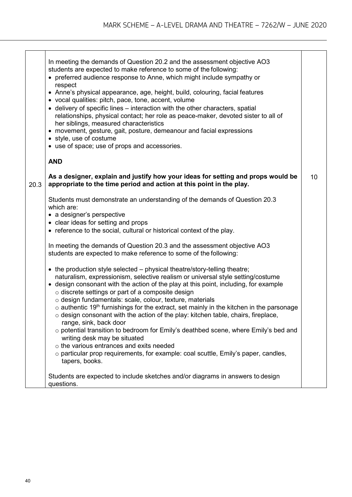|      | In meeting the demands of Question 20.2 and the assessment objective AO3<br>students are expected to make reference to some of the following:<br>• preferred audience response to Anne, which might include sympathy or<br>respect<br>• Anne's physical appearance, age, height, build, colouring, facial features<br>• vocal qualities: pitch, pace, tone, accent, volume<br>• delivery of specific lines – interaction with the other characters, spatial<br>relationships, physical contact; her role as peace-maker, devoted sister to all of<br>her siblings, measured characteristics<br>• movement, gesture, gait, posture, demeanour and facial expressions<br>• style, use of costume<br>• use of space; use of props and accessories.<br><b>AND</b> |    |
|------|---------------------------------------------------------------------------------------------------------------------------------------------------------------------------------------------------------------------------------------------------------------------------------------------------------------------------------------------------------------------------------------------------------------------------------------------------------------------------------------------------------------------------------------------------------------------------------------------------------------------------------------------------------------------------------------------------------------------------------------------------------------|----|
| 20.3 | As a designer, explain and justify how your ideas for setting and props would be<br>appropriate to the time period and action at this point in the play.                                                                                                                                                                                                                                                                                                                                                                                                                                                                                                                                                                                                      | 10 |
|      | Students must demonstrate an understanding of the demands of Question 20.3<br>which are:<br>• a designer's perspective<br>• clear ideas for setting and props<br>• reference to the social, cultural or historical context of the play.                                                                                                                                                                                                                                                                                                                                                                                                                                                                                                                       |    |
|      | In meeting the demands of Question 20.3 and the assessment objective AO3<br>students are expected to make reference to some of the following:                                                                                                                                                                                                                                                                                                                                                                                                                                                                                                                                                                                                                 |    |
|      | $\bullet$ the production style selected $-$ physical theatre/story-telling theatre;<br>naturalism, expressionism, selective realism or universal style setting/costume<br>• design consonant with the action of the play at this point, including, for example<br>o discrete settings or part of a composite design<br>o design fundamentals: scale, colour, texture, materials<br>$\circ$ authentic 19 <sup>th</sup> furnishings for the extract, set mainly in the kitchen in the parsonage<br>$\circ$ design consonant with the action of the play: kitchen table, chairs, fireplace,<br>range, sink, back door<br>o potential transition to bedroom for Emily's deathbed scene, where Emily's bed and                                                     |    |
|      | writing desk may be situated<br>$\circ$ the various entrances and exits needed<br>$\circ$ particular prop requirements, for example: coal scuttle, Emily's paper, candles,<br>tapers, books.                                                                                                                                                                                                                                                                                                                                                                                                                                                                                                                                                                  |    |
|      | Students are expected to include sketches and/or diagrams in answers to design<br>questions.                                                                                                                                                                                                                                                                                                                                                                                                                                                                                                                                                                                                                                                                  |    |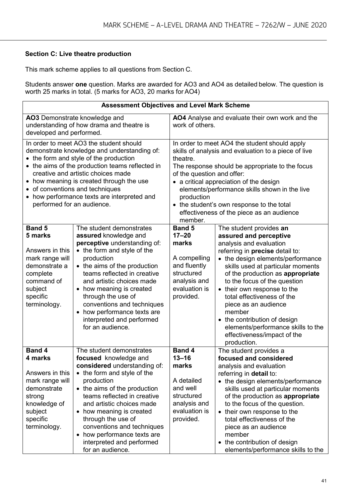#### **Section C: Live theatre production**

This mark scheme applies to all questions from Section C.

Students answer **one** question. Marks are awarded for AO3 and AO4 as detailed below. The question is worth 25 marks in total. (5 marks for AO3, 20 marks for AO4)

| <b>Assessment Objectives and Level Mark Scheme</b>                                                                                                                                                                                                                                                                                                                                    |                                                                                                                                                                                                                                                                                                                                                                                            |                                                                                                                                                                                                                                                                                                                                                                                                                   |                                                                                                                                                                                                                                                                                                                                                                                                                                                                                  |
|---------------------------------------------------------------------------------------------------------------------------------------------------------------------------------------------------------------------------------------------------------------------------------------------------------------------------------------------------------------------------------------|--------------------------------------------------------------------------------------------------------------------------------------------------------------------------------------------------------------------------------------------------------------------------------------------------------------------------------------------------------------------------------------------|-------------------------------------------------------------------------------------------------------------------------------------------------------------------------------------------------------------------------------------------------------------------------------------------------------------------------------------------------------------------------------------------------------------------|----------------------------------------------------------------------------------------------------------------------------------------------------------------------------------------------------------------------------------------------------------------------------------------------------------------------------------------------------------------------------------------------------------------------------------------------------------------------------------|
| AO3 Demonstrate knowledge and<br>understanding of how drama and theatre is<br>developed and performed.                                                                                                                                                                                                                                                                                |                                                                                                                                                                                                                                                                                                                                                                                            | AO4 Analyse and evaluate their own work and the<br>work of others.                                                                                                                                                                                                                                                                                                                                                |                                                                                                                                                                                                                                                                                                                                                                                                                                                                                  |
| In order to meet AO3 the student should<br>demonstrate knowledge and understanding of:<br>• the form and style of the production<br>• the aims of the production teams reflected in<br>creative and artistic choices made<br>• how meaning is created through the use<br>• of conventions and techniques<br>• how performance texts are interpreted and<br>performed for an audience. |                                                                                                                                                                                                                                                                                                                                                                                            | In order to meet AO4 the student should apply<br>skills of analysis and evaluation to a piece of live<br>theatre.<br>The response should be appropriate to the focus<br>of the question and offer:<br>• a critical appreciation of the design<br>elements/performance skills shown in the live<br>production<br>• the student's own response to the total<br>effectiveness of the piece as an audience<br>member. |                                                                                                                                                                                                                                                                                                                                                                                                                                                                                  |
| <b>Band 5</b><br>5 marks<br>Answers in this<br>mark range will<br>demonstrate a<br>complete<br>command of<br>subject<br>specific<br>terminology.                                                                                                                                                                                                                                      | The student demonstrates<br>assured knowledge and<br>perceptive understanding of:<br>• the form and style of the<br>production<br>• the aims of the production<br>teams reflected in creative<br>and artistic choices made<br>• how meaning is created<br>through the use of<br>conventions and techniques<br>• how performance texts are<br>interpreted and performed<br>for an audience. | <b>Band 5</b><br>$17 - 20$<br>marks<br>A compelling<br>and fluently<br>structured<br>analysis and<br>evaluation is<br>provided.                                                                                                                                                                                                                                                                                   | The student provides an<br>assured and perceptive<br>analysis and evaluation<br>referring in precise detail to:<br>• the design elements/performance<br>skills used at particular moments<br>of the production as appropriate<br>to the focus of the question<br>• their own response to the<br>total effectiveness of the<br>piece as an audience<br>member<br>• the contribution of design<br>elements/performance skills to the<br>effectiveness/impact of the<br>production. |
| <b>Band 4</b><br>4 marks<br>Answers in this<br>mark range will<br>demonstrate<br>strong<br>knowledge of<br>subject<br>specific<br>terminology.                                                                                                                                                                                                                                        | The student demonstrates<br>focused knowledge and<br>considered understanding of:<br>• the form and style of the<br>production<br>• the aims of the production<br>teams reflected in creative<br>and artistic choices made<br>• how meaning is created<br>through the use of<br>conventions and techniques<br>• how performance texts are<br>interpreted and performed<br>for an audience. | <b>Band 4</b><br>$13 - 16$<br>marks<br>A detailed<br>and well<br>structured<br>analysis and<br>evaluation is<br>provided.                                                                                                                                                                                                                                                                                         | The student provides a<br>focused and considered<br>analysis and evaluation<br>referring in detail to:<br>• the design elements/performance<br>skills used at particular moments<br>of the production as appropriate<br>to the focus of the question.<br>• their own response to the<br>total effectiveness of the<br>piece as an audience<br>member<br>• the contribution of design<br>elements/performance skills to the                                                       |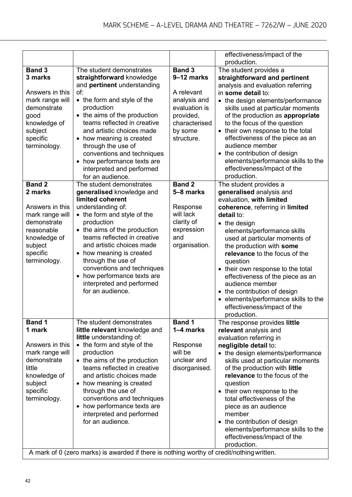|                                                                                                                                                    |                                                                                                                                                                                                                                                                                                                                                                                                                                        |                                                                                                                                   | effectiveness/impact of the<br>production.                                                                                                                                                                                                                                                                                                                                                                                                                                                                                        |
|----------------------------------------------------------------------------------------------------------------------------------------------------|----------------------------------------------------------------------------------------------------------------------------------------------------------------------------------------------------------------------------------------------------------------------------------------------------------------------------------------------------------------------------------------------------------------------------------------|-----------------------------------------------------------------------------------------------------------------------------------|-----------------------------------------------------------------------------------------------------------------------------------------------------------------------------------------------------------------------------------------------------------------------------------------------------------------------------------------------------------------------------------------------------------------------------------------------------------------------------------------------------------------------------------|
| <b>Band 3</b><br>3 marks<br>Answers in this<br>mark range will<br>demonstrate<br>good<br>knowledge of<br>subject<br>specific<br>terminology.       | The student demonstrates<br>straightforward knowledge<br>and pertinent understanding<br>of:<br>• the form and style of the<br>production<br>• the aims of the production<br>teams reflected in creative<br>and artistic choices made<br>• how meaning is created<br>through the use of<br>conventions and techniques<br>how performance texts are<br>$\bullet$<br>interpreted and performed                                            | <b>Band 3</b><br>9-12 marks<br>A relevant<br>analysis and<br>evaluation is<br>provided,<br>characterised<br>by some<br>structure. | The student provides a<br>straightforward and pertinent<br>analysis and evaluation referring<br>in some detail to:<br>• the design elements/performance<br>skills used at particular moments<br>of the production as appropriate<br>to the focus of the question<br>• their own response to the total<br>effectiveness of the piece as an<br>audience member<br>• the contribution of design<br>elements/performance skills to the<br>effectiveness/impact of the                                                                 |
| <b>Band 2</b><br>2 marks<br>Answers in this<br>mark range will<br>demonstrate<br>reasonable<br>knowledge of<br>subject<br>specific<br>terminology. | for an audience.<br>The student demonstrates<br>generalised knowledge and<br>limited coherent<br>understanding of:<br>• the form and style of the<br>production<br>• the aims of the production<br>teams reflected in creative<br>and artistic choices made<br>• how meaning is created<br>through the use of<br>conventions and techniques<br>how performance texts are<br>$\bullet$<br>interpreted and performed<br>for an audience. | <b>Band 2</b><br>5-8 marks<br>Response<br>will lack<br>clarity of<br>expression<br>and<br>organisation.                           | production.<br>The student provides a<br>generalised analysis and<br>evaluation, with limited<br>coherence, referring in limited<br>detail to:<br>$\bullet$ the design<br>elements/performance skills<br>used at particular moments of<br>the production with some<br>relevance to the focus of the<br>question<br>• their own response to the total<br>effectiveness of the piece as an<br>audience member<br>• the contribution of design<br>• elements/performance skills to the<br>effectiveness/impact of the<br>production. |
| <b>Band 1</b><br>1 mark<br>Answers in this<br>mark range will<br>demonstrate<br>little<br>knowledge of<br>subject<br>specific<br>terminology.      | The student demonstrates<br>little relevant knowledge and<br>little understanding of:<br>• the form and style of the<br>production<br>• the aims of the production<br>teams reflected in creative<br>and artistic choices made<br>• how meaning is created<br>through the use of<br>conventions and techniques<br>• how performance texts are<br>interpreted and performed<br>for an audience.                                         | <b>Band 1</b><br>1-4 marks<br>Response<br>will be<br>unclear and<br>disorganised.                                                 | The response provides little<br>relevant analysis and<br>evaluation referring in<br>negligible detail to:<br>• the design elements/performance<br>skills used at particular moments<br>of the production with little<br>relevance to the focus of the<br>question<br>• their own response to the<br>total effectiveness of the<br>piece as an audience<br>member<br>• the contribution of design<br>elements/performance skills to the<br>effectiveness/impact of the<br>production.                                              |
|                                                                                                                                                    | A mark of 0 (zero marks) is awarded if there is nothing worthy of credit/nothing written.                                                                                                                                                                                                                                                                                                                                              |                                                                                                                                   |                                                                                                                                                                                                                                                                                                                                                                                                                                                                                                                                   |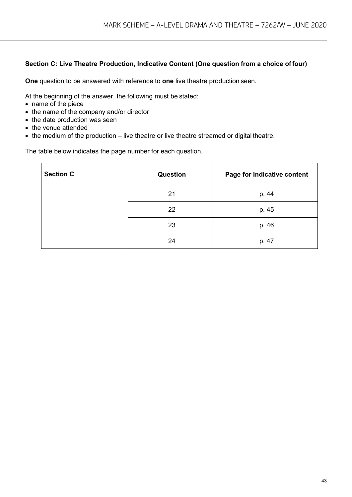#### **Section C: Live Theatre Production, Indicative Content (One question from a choice offour)**

**One** question to be answered with reference to **one** live theatre production seen.

At the beginning of the answer, the following must be stated:

- name of the piece
- the name of the company and/or director
- the date production was seen
- the venue attended
- the medium of the production live theatre or live theatre streamed or digital theatre.

The table below indicates the page number for each question.

| <b>Section C</b> | Question | Page for Indicative content |
|------------------|----------|-----------------------------|
|                  | 21       | p. 44                       |
|                  | 22       | p. 45                       |
|                  | 23       | p. 46                       |
|                  | 24       | p. 47                       |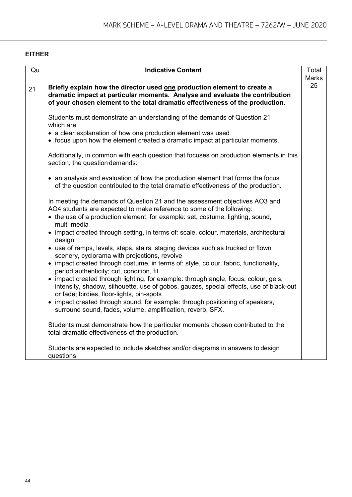#### **EITHER**

| Qu | <b>Indicative Content</b>                                                                                                                                                                                                  | Total        |
|----|----------------------------------------------------------------------------------------------------------------------------------------------------------------------------------------------------------------------------|--------------|
|    |                                                                                                                                                                                                                            | <b>Marks</b> |
| 21 | Briefly explain how the director used one production element to create a                                                                                                                                                   | 25           |
|    | dramatic impact at particular moments. Analyse and evaluate the contribution                                                                                                                                               |              |
|    | of your chosen element to the total dramatic effectiveness of the production.                                                                                                                                              |              |
|    |                                                                                                                                                                                                                            |              |
|    | Students must demonstrate an understanding of the demands of Question 21<br>which are:                                                                                                                                     |              |
|    | • a clear explanation of how one production element was used                                                                                                                                                               |              |
|    | • focus upon how the element created a dramatic impact at particular moments.                                                                                                                                              |              |
|    |                                                                                                                                                                                                                            |              |
|    | Additionally, in common with each question that focuses on production elements in this<br>section, the question demands:                                                                                                   |              |
|    | • an analysis and evaluation of how the production element that forms the focus<br>of the question contributed to the total dramatic effectiveness of the production.                                                      |              |
|    |                                                                                                                                                                                                                            |              |
|    | In meeting the demands of Question 21 and the assessment objectives AO3 and                                                                                                                                                |              |
|    | AO4 students are expected to make reference to some of the following:                                                                                                                                                      |              |
|    | • the use of a production element, for example: set, costume, lighting, sound,<br>multi-media                                                                                                                              |              |
|    | • impact created through setting, in terms of: scale, colour, materials, architectural<br>design                                                                                                                           |              |
|    | • use of ramps, levels, steps, stairs, staging devices such as trucked or flown<br>scenery, cyclorama with projections, revolve                                                                                            |              |
|    | • impact created through costume, in terms of: style, colour, fabric, functionality,<br>period authenticity; cut, condition, fit                                                                                           |              |
|    | • impact created through lighting, for example: through angle, focus, colour, gels,<br>intensity, shadow, silhouette, use of gobos, gauzes, special effects, use of black-out<br>or fade; birdies, floor-lights, pin-spots |              |
|    | • impact created through sound, for example: through positioning of speakers,<br>surround sound, fades, volume, amplification, reverb, SFX.                                                                                |              |
|    | Students must demonstrate how the particular moments chosen contributed to the<br>total dramatic effectiveness of the production.                                                                                          |              |
|    | Students are expected to include sketches and/or diagrams in answers to design<br>questions.                                                                                                                               |              |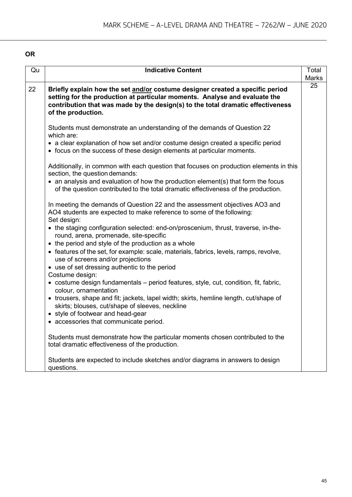#### **OR**

| Qu | <b>Indicative Content</b>                                                                                                                                                                                                                                            | Total |
|----|----------------------------------------------------------------------------------------------------------------------------------------------------------------------------------------------------------------------------------------------------------------------|-------|
|    |                                                                                                                                                                                                                                                                      | Marks |
| 22 | Briefly explain how the set and/or costume designer created a specific period<br>setting for the production at particular moments. Analyse and evaluate the<br>contribution that was made by the design(s) to the total dramatic effectiveness<br>of the production. | 25    |
|    | Students must demonstrate an understanding of the demands of Question 22<br>which are:<br>• a clear explanation of how set and/or costume design created a specific period                                                                                           |       |
|    | • focus on the success of these design elements at particular moments.                                                                                                                                                                                               |       |
|    | Additionally, in common with each question that focuses on production elements in this<br>section, the question demands:                                                                                                                                             |       |
|    | • an analysis and evaluation of how the production element(s) that form the focus<br>of the question contributed to the total dramatic effectiveness of the production.                                                                                              |       |
|    | In meeting the demands of Question 22 and the assessment objectives AO3 and<br>AO4 students are expected to make reference to some of the following:<br>Set design:                                                                                                  |       |
|    | • the staging configuration selected: end-on/proscenium, thrust, traverse, in-the-<br>round, arena, promenade, site-specific<br>• the period and style of the production as a whole                                                                                  |       |
|    | • features of the set, for example: scale, materials, fabrics, levels, ramps, revolve,<br>use of screens and/or projections                                                                                                                                          |       |
|    | • use of set dressing authentic to the period                                                                                                                                                                                                                        |       |
|    | Costume design:<br>• costume design fundamentals – period features, style, cut, condition, fit, fabric,<br>colour, ornamentation                                                                                                                                     |       |
|    | • trousers, shape and fit; jackets, lapel width; skirts, hemline length, cut/shape of<br>skirts; blouses, cut/shape of sleeves, neckline<br>• style of footwear and head-gear                                                                                        |       |
|    | • accessories that communicate period.                                                                                                                                                                                                                               |       |
|    | Students must demonstrate how the particular moments chosen contributed to the<br>total dramatic effectiveness of the production.                                                                                                                                    |       |
|    | Students are expected to include sketches and/or diagrams in answers to design<br>questions.                                                                                                                                                                         |       |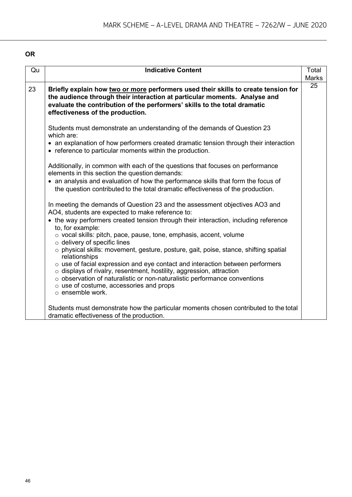#### **OR**

| Qu | <b>Indicative Content</b>                                                                                                                                                                                                                                                                                                                                                                                                                                                                                                                                                                                                                                                                                                                                                                                                                                                                                                                                    | Total        |
|----|--------------------------------------------------------------------------------------------------------------------------------------------------------------------------------------------------------------------------------------------------------------------------------------------------------------------------------------------------------------------------------------------------------------------------------------------------------------------------------------------------------------------------------------------------------------------------------------------------------------------------------------------------------------------------------------------------------------------------------------------------------------------------------------------------------------------------------------------------------------------------------------------------------------------------------------------------------------|--------------|
|    |                                                                                                                                                                                                                                                                                                                                                                                                                                                                                                                                                                                                                                                                                                                                                                                                                                                                                                                                                              | <b>Marks</b> |
| 23 | Briefly explain how two or more performers used their skills to create tension for<br>the audience through their interaction at particular moments. Analyse and<br>evaluate the contribution of the performers' skills to the total dramatic<br>effectiveness of the production.                                                                                                                                                                                                                                                                                                                                                                                                                                                                                                                                                                                                                                                                             | 25           |
|    | Students must demonstrate an understanding of the demands of Question 23<br>which are:<br>• an explanation of how performers created dramatic tension through their interaction<br>• reference to particular moments within the production.                                                                                                                                                                                                                                                                                                                                                                                                                                                                                                                                                                                                                                                                                                                  |              |
|    | Additionally, in common with each of the questions that focuses on performance<br>elements in this section the question demands:<br>• an analysis and evaluation of how the performance skills that form the focus of<br>the question contributed to the total dramatic effectiveness of the production.<br>In meeting the demands of Question 23 and the assessment objectives AO3 and<br>AO4, students are expected to make reference to:<br>• the way performers created tension through their interaction, including reference<br>to, for example:<br>$\circ$ vocal skills: pitch, pace, pause, tone, emphasis, accent, volume<br>$\circ$ delivery of specific lines<br>$\circ$ physical skills: movement, gesture, posture, gait, poise, stance, shifting spatial<br>relationships<br>$\circ$ use of facial expression and eye contact and interaction between performers<br>$\circ$ displays of rivalry, resentment, hostility, aggression, attraction |              |
|    | o observation of naturalistic or non-naturalistic performance conventions<br>$\circ$ use of costume, accessories and props<br>$\circ$ ensemble work.<br>Students must demonstrate how the particular moments chosen contributed to the total<br>dramatic effectiveness of the production.                                                                                                                                                                                                                                                                                                                                                                                                                                                                                                                                                                                                                                                                    |              |